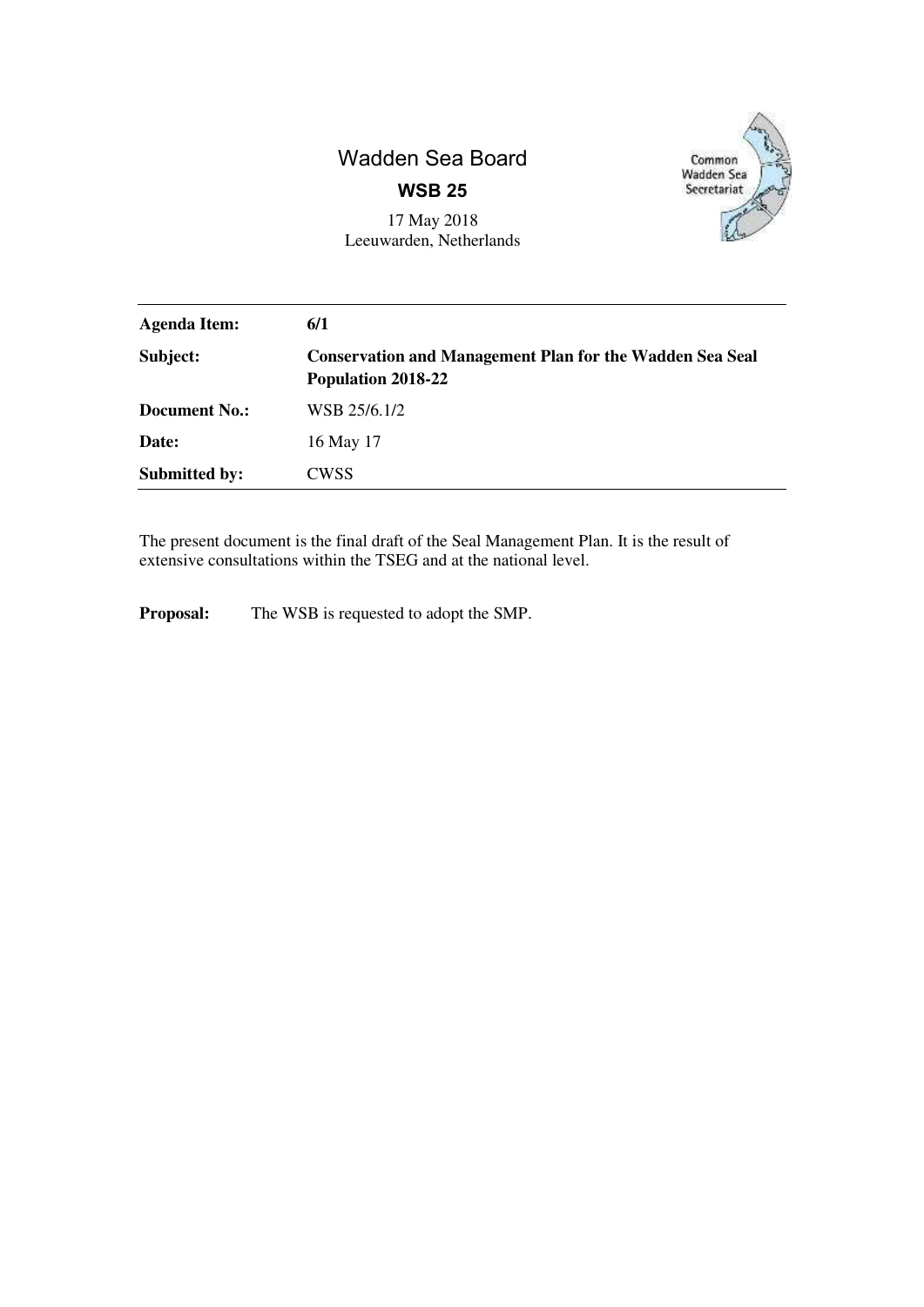# Wadden Sea Board **WSB 25**



17 May 2018 Leeuwarden, Netherlands

| <b>Agenda Item:</b>  | 6/1                                                                                   |
|----------------------|---------------------------------------------------------------------------------------|
| Subject:             | <b>Conservation and Management Plan for the Wadden Sea Seal</b><br>Population 2018-22 |
| <b>Document No.:</b> | WSB 25/6.1/2                                                                          |
| Date:                | 16 May 17                                                                             |
| <b>Submitted by:</b> | <b>CWSS</b>                                                                           |

The present document is the final draft of the Seal Management Plan. It is the result of extensive consultations within the TSEG and at the national level.

**Proposal:** The WSB is requested to adopt the SMP.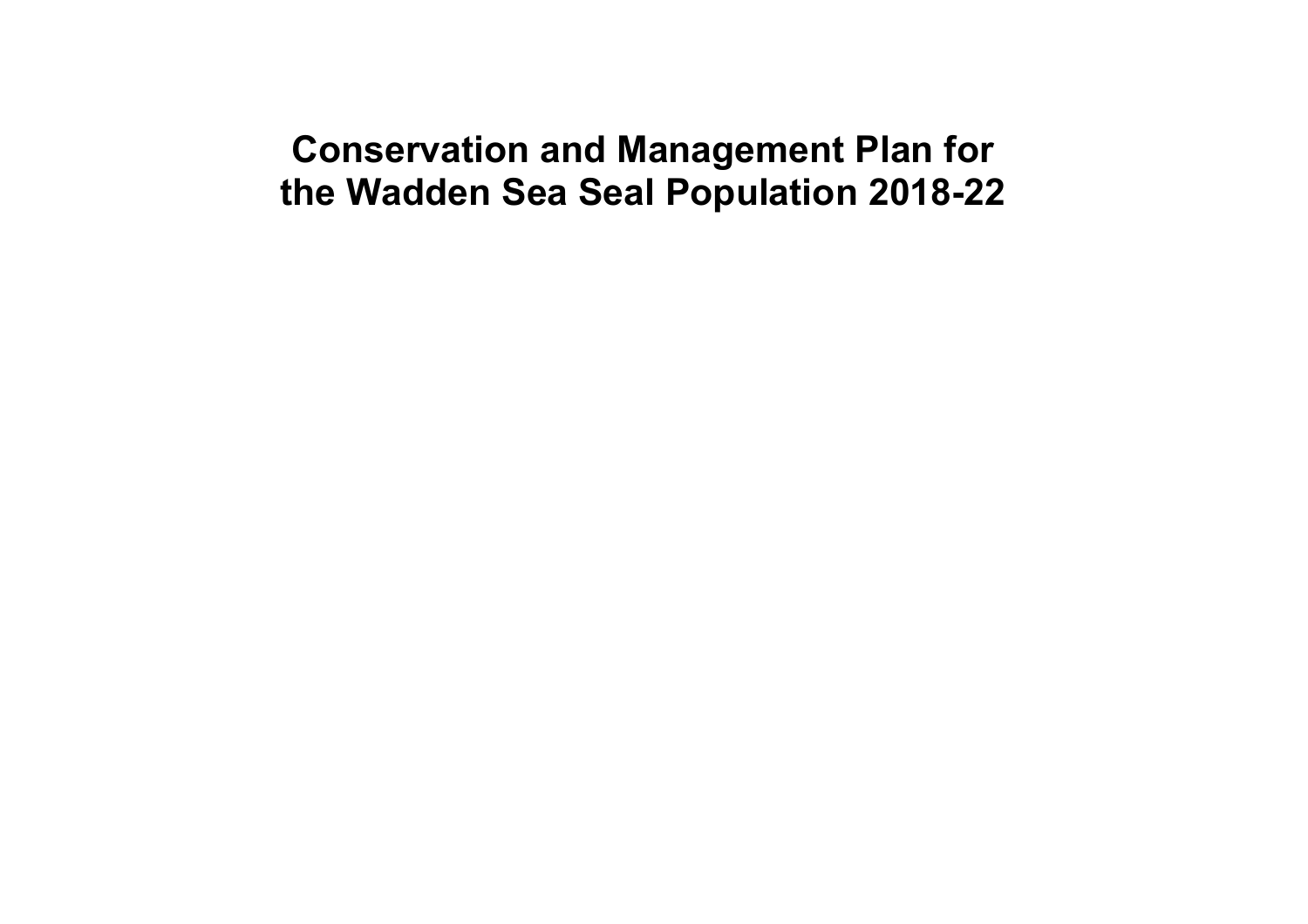# **Conservation and Management Plan for the Wadden Sea Seal Population 2018-22**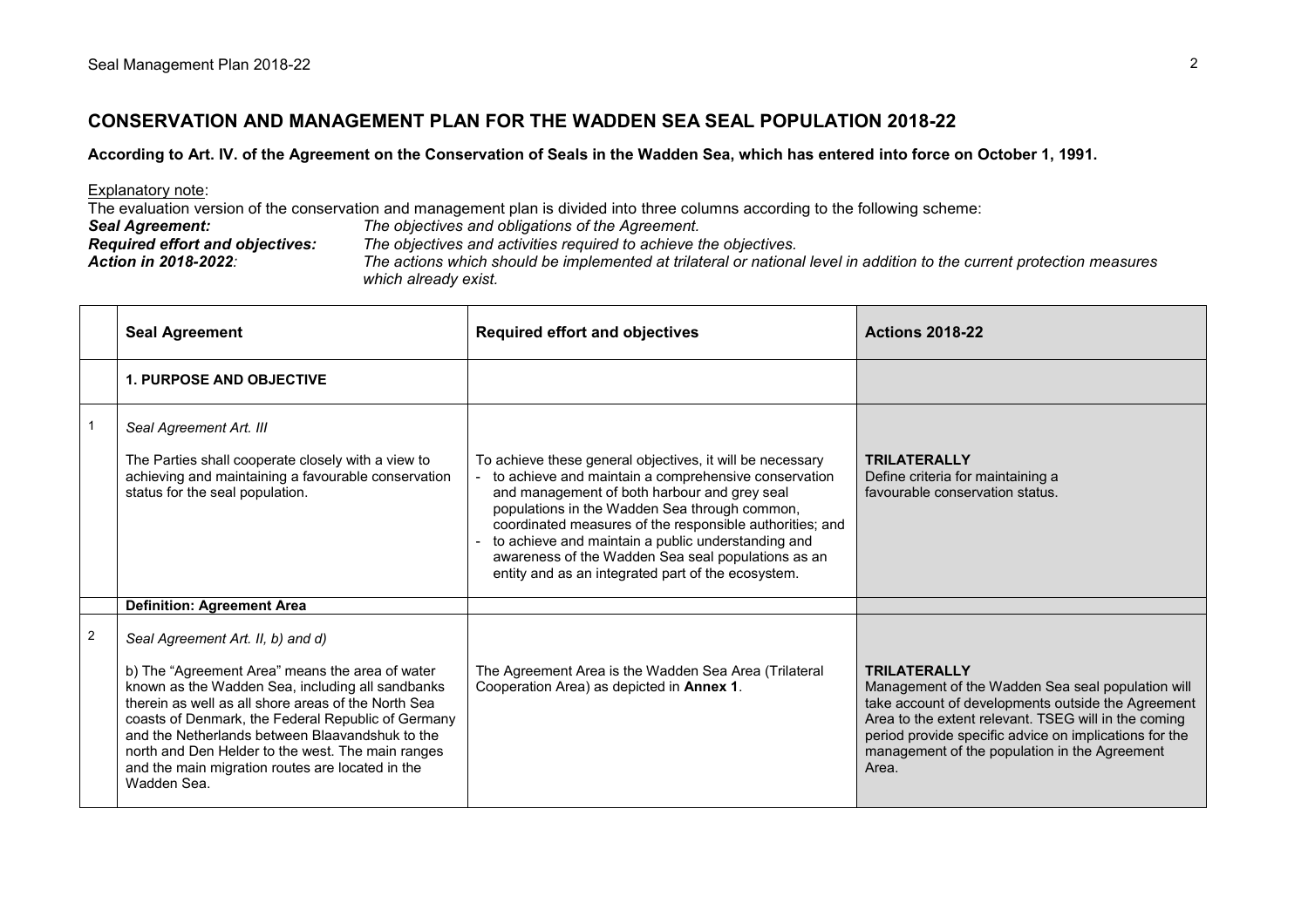# **CONSERVATION AND MANAGEMENT PLAN FOR THE WADDEN SEA SEAL POPULATION 2018-22**

# **According to Art. IV. of the Agreement on the Conservation of Seals in the Wadden Sea, which has entered into force on October 1, 1991.**

| Explanatory note:                                                                                                                                                      |                                                                   |  |  |
|------------------------------------------------------------------------------------------------------------------------------------------------------------------------|-------------------------------------------------------------------|--|--|
| The evaluation version of the conservation and management plan is divided into three columns according to the following scheme:                                        |                                                                   |  |  |
| <b>Seal Agreement:</b>                                                                                                                                                 | The objectives and obligations of the Agreement.                  |  |  |
| <b>Required effort and objectives:</b>                                                                                                                                 | The objectives and activities required to achieve the objectives. |  |  |
| The actions which should be implemented at trilateral or national level in addition to the current protection measures<br>Action in 2018-2022:<br>which already exist. |                                                                   |  |  |

|                | <b>Seal Agreement</b>                                                                                                                                                                                                                                                                                                                                                                                                            | <b>Required effort and objectives</b>                                                                                                                                                                                                                                                                                                                                                                                                            | <b>Actions 2018-22</b>                                                                                                                                                                                                                                                                                     |
|----------------|----------------------------------------------------------------------------------------------------------------------------------------------------------------------------------------------------------------------------------------------------------------------------------------------------------------------------------------------------------------------------------------------------------------------------------|--------------------------------------------------------------------------------------------------------------------------------------------------------------------------------------------------------------------------------------------------------------------------------------------------------------------------------------------------------------------------------------------------------------------------------------------------|------------------------------------------------------------------------------------------------------------------------------------------------------------------------------------------------------------------------------------------------------------------------------------------------------------|
|                | <b>1. PURPOSE AND OBJECTIVE</b>                                                                                                                                                                                                                                                                                                                                                                                                  |                                                                                                                                                                                                                                                                                                                                                                                                                                                  |                                                                                                                                                                                                                                                                                                            |
|                | Seal Agreement Art. III<br>The Parties shall cooperate closely with a view to<br>achieving and maintaining a favourable conservation<br>status for the seal population.                                                                                                                                                                                                                                                          | To achieve these general objectives, it will be necessary<br>to achieve and maintain a comprehensive conservation<br>and management of both harbour and grey seal<br>populations in the Wadden Sea through common,<br>coordinated measures of the responsible authorities; and<br>to achieve and maintain a public understanding and<br>awareness of the Wadden Sea seal populations as an<br>entity and as an integrated part of the ecosystem. | <b>TRILATERALLY</b><br>Define criteria for maintaining a<br>favourable conservation status.                                                                                                                                                                                                                |
|                | <b>Definition: Agreement Area</b>                                                                                                                                                                                                                                                                                                                                                                                                |                                                                                                                                                                                                                                                                                                                                                                                                                                                  |                                                                                                                                                                                                                                                                                                            |
| $\overline{2}$ | Seal Agreement Art. II, b) and d)<br>b) The "Agreement Area" means the area of water<br>known as the Wadden Sea, including all sandbanks<br>therein as well as all shore areas of the North Sea<br>coasts of Denmark, the Federal Republic of Germany<br>and the Netherlands between Blaavandshuk to the<br>north and Den Helder to the west. The main ranges<br>and the main migration routes are located in the<br>Wadden Sea. | The Agreement Area is the Wadden Sea Area (Trilateral<br>Cooperation Area) as depicted in Annex 1.                                                                                                                                                                                                                                                                                                                                               | <b>TRILATERALLY</b><br>Management of the Wadden Sea seal population will<br>take account of developments outside the Agreement<br>Area to the extent relevant. TSEG will in the coming<br>period provide specific advice on implications for the<br>management of the population in the Agreement<br>Area. |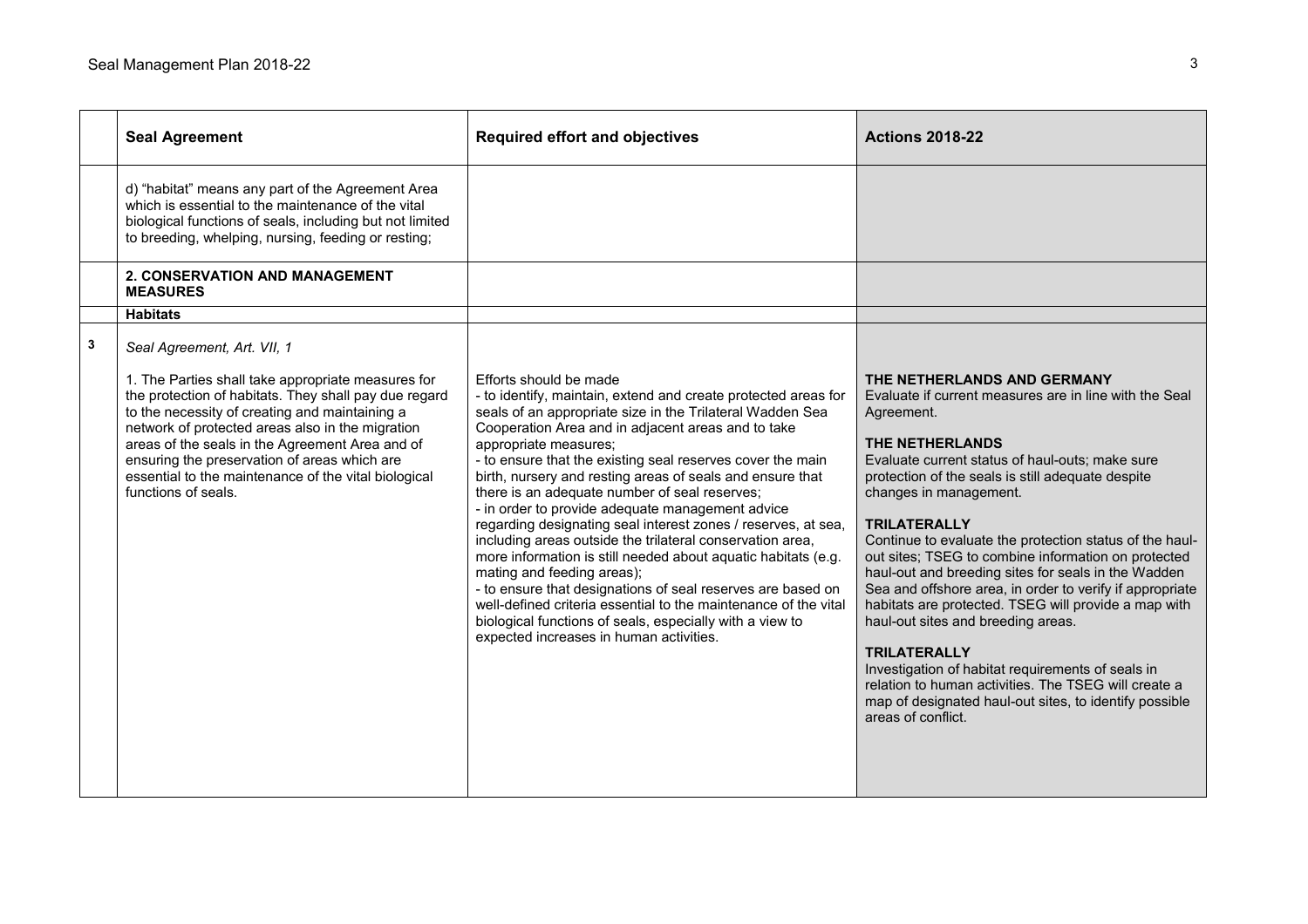|   | <b>Seal Agreement</b>                                                                                                                                                                                                                                                                                                                                                                                                              | <b>Required effort and objectives</b>                                                                                                                                                                                                                                                                                                                                                                                                                                                                                                                                                                                                                                                                                                                                                                                                                                                                                                      | <b>Actions 2018-22</b>                                                                                                                                                                                                                                                                                                                                                                                                                                                                                                                                                                                                                                                                                                                                                                                                                 |
|---|------------------------------------------------------------------------------------------------------------------------------------------------------------------------------------------------------------------------------------------------------------------------------------------------------------------------------------------------------------------------------------------------------------------------------------|--------------------------------------------------------------------------------------------------------------------------------------------------------------------------------------------------------------------------------------------------------------------------------------------------------------------------------------------------------------------------------------------------------------------------------------------------------------------------------------------------------------------------------------------------------------------------------------------------------------------------------------------------------------------------------------------------------------------------------------------------------------------------------------------------------------------------------------------------------------------------------------------------------------------------------------------|----------------------------------------------------------------------------------------------------------------------------------------------------------------------------------------------------------------------------------------------------------------------------------------------------------------------------------------------------------------------------------------------------------------------------------------------------------------------------------------------------------------------------------------------------------------------------------------------------------------------------------------------------------------------------------------------------------------------------------------------------------------------------------------------------------------------------------------|
|   | d) "habitat" means any part of the Agreement Area<br>which is essential to the maintenance of the vital<br>biological functions of seals, including but not limited<br>to breeding, whelping, nursing, feeding or resting;                                                                                                                                                                                                         |                                                                                                                                                                                                                                                                                                                                                                                                                                                                                                                                                                                                                                                                                                                                                                                                                                                                                                                                            |                                                                                                                                                                                                                                                                                                                                                                                                                                                                                                                                                                                                                                                                                                                                                                                                                                        |
|   | 2. CONSERVATION AND MANAGEMENT<br><b>MEASURES</b>                                                                                                                                                                                                                                                                                                                                                                                  |                                                                                                                                                                                                                                                                                                                                                                                                                                                                                                                                                                                                                                                                                                                                                                                                                                                                                                                                            |                                                                                                                                                                                                                                                                                                                                                                                                                                                                                                                                                                                                                                                                                                                                                                                                                                        |
|   | <b>Habitats</b>                                                                                                                                                                                                                                                                                                                                                                                                                    |                                                                                                                                                                                                                                                                                                                                                                                                                                                                                                                                                                                                                                                                                                                                                                                                                                                                                                                                            |                                                                                                                                                                                                                                                                                                                                                                                                                                                                                                                                                                                                                                                                                                                                                                                                                                        |
| 3 | Seal Agreement, Art. VII, 1<br>1. The Parties shall take appropriate measures for<br>the protection of habitats. They shall pay due regard<br>to the necessity of creating and maintaining a<br>network of protected areas also in the migration<br>areas of the seals in the Agreement Area and of<br>ensuring the preservation of areas which are<br>essential to the maintenance of the vital biological<br>functions of seals. | Efforts should be made<br>- to identify, maintain, extend and create protected areas for<br>seals of an appropriate size in the Trilateral Wadden Sea<br>Cooperation Area and in adjacent areas and to take<br>appropriate measures;<br>- to ensure that the existing seal reserves cover the main<br>birth, nursery and resting areas of seals and ensure that<br>there is an adequate number of seal reserves;<br>- in order to provide adequate management advice<br>regarding designating seal interest zones / reserves, at sea,<br>including areas outside the trilateral conservation area,<br>more information is still needed about aquatic habitats (e.g.<br>mating and feeding areas);<br>- to ensure that designations of seal reserves are based on<br>well-defined criteria essential to the maintenance of the vital<br>biological functions of seals, especially with a view to<br>expected increases in human activities. | THE NETHERLANDS AND GERMANY<br>Evaluate if current measures are in line with the Seal<br>Agreement.<br>THE NETHERLANDS<br>Evaluate current status of haul-outs; make sure<br>protection of the seals is still adequate despite<br>changes in management.<br><b>TRILATERALLY</b><br>Continue to evaluate the protection status of the haul-<br>out sites; TSEG to combine information on protected<br>haul-out and breeding sites for seals in the Wadden<br>Sea and offshore area, in order to verify if appropriate<br>habitats are protected. TSEG will provide a map with<br>haul-out sites and breeding areas.<br><b>TRILATERALLY</b><br>Investigation of habitat requirements of seals in<br>relation to human activities. The TSEG will create a<br>map of designated haul-out sites, to identify possible<br>areas of conflict. |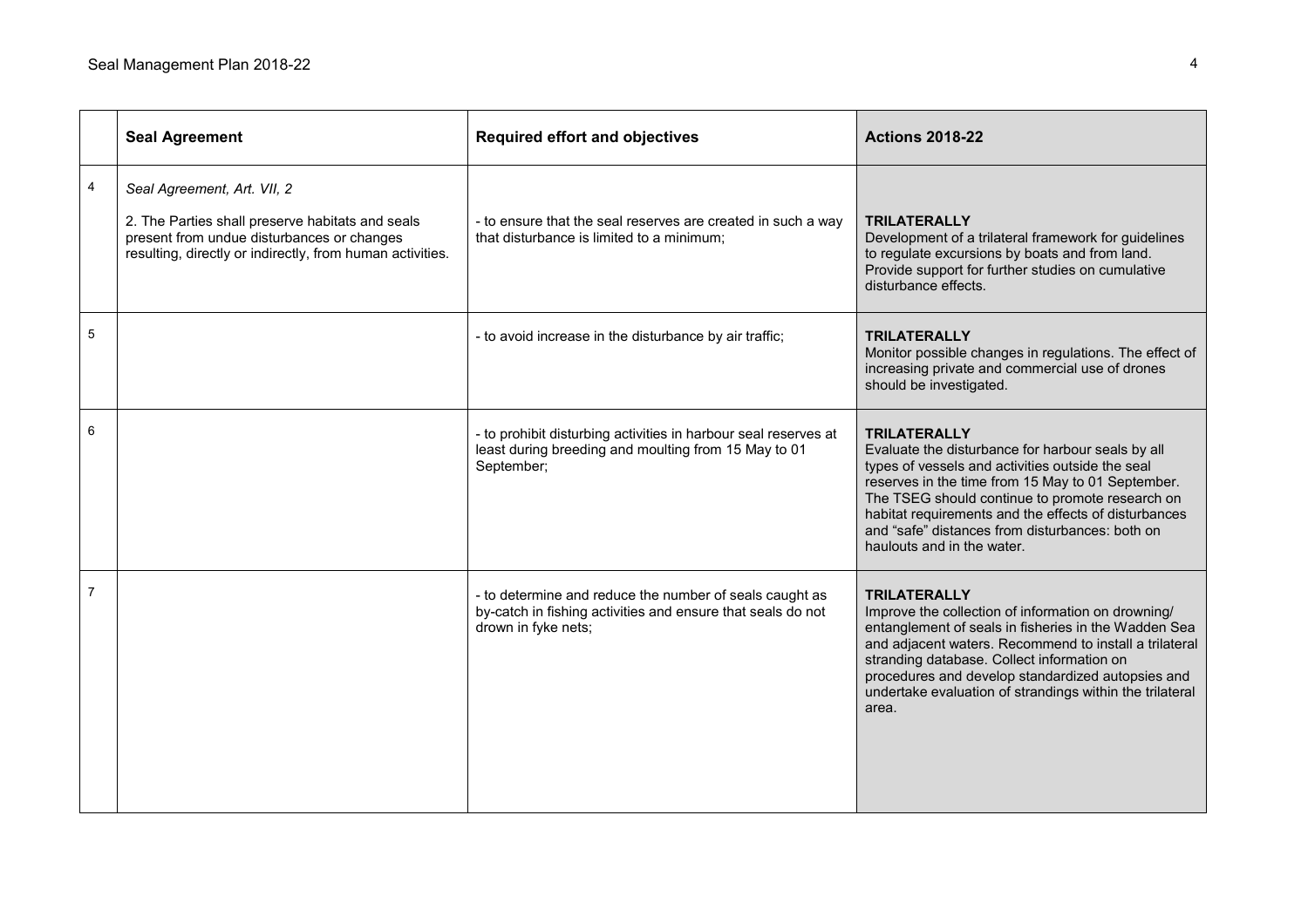|   | <b>Seal Agreement</b>                                                                                                                                                                      | <b>Required effort and objectives</b>                                                                                                         | <b>Actions 2018-22</b>                                                                                                                                                                                                                                                                                                                                                        |
|---|--------------------------------------------------------------------------------------------------------------------------------------------------------------------------------------------|-----------------------------------------------------------------------------------------------------------------------------------------------|-------------------------------------------------------------------------------------------------------------------------------------------------------------------------------------------------------------------------------------------------------------------------------------------------------------------------------------------------------------------------------|
| 4 | Seal Agreement, Art. VII, 2<br>2. The Parties shall preserve habitats and seals<br>present from undue disturbances or changes<br>resulting, directly or indirectly, from human activities. | - to ensure that the seal reserves are created in such a way<br>that disturbance is limited to a minimum;                                     | <b>TRILATERALLY</b><br>Development of a trilateral framework for guidelines<br>to regulate excursions by boats and from land.<br>Provide support for further studies on cumulative<br>disturbance effects.                                                                                                                                                                    |
| 5 |                                                                                                                                                                                            | - to avoid increase in the disturbance by air traffic;                                                                                        | <b>TRILATERALLY</b><br>Monitor possible changes in regulations. The effect of<br>increasing private and commercial use of drones<br>should be investigated.                                                                                                                                                                                                                   |
| 6 |                                                                                                                                                                                            | - to prohibit disturbing activities in harbour seal reserves at<br>least during breeding and moulting from 15 May to 01<br>September;         | <b>TRILATERALLY</b><br>Evaluate the disturbance for harbour seals by all<br>types of vessels and activities outside the seal<br>reserves in the time from 15 May to 01 September.<br>The TSEG should continue to promote research on<br>habitat requirements and the effects of disturbances<br>and "safe" distances from disturbances: both on<br>haulouts and in the water. |
| 7 |                                                                                                                                                                                            | - to determine and reduce the number of seals caught as<br>by-catch in fishing activities and ensure that seals do not<br>drown in fyke nets; | <b>TRILATERALLY</b><br>Improve the collection of information on drowning/<br>entanglement of seals in fisheries in the Wadden Sea<br>and adjacent waters. Recommend to install a trilateral<br>stranding database. Collect information on<br>procedures and develop standardized autopsies and<br>undertake evaluation of strandings within the trilateral<br>area.           |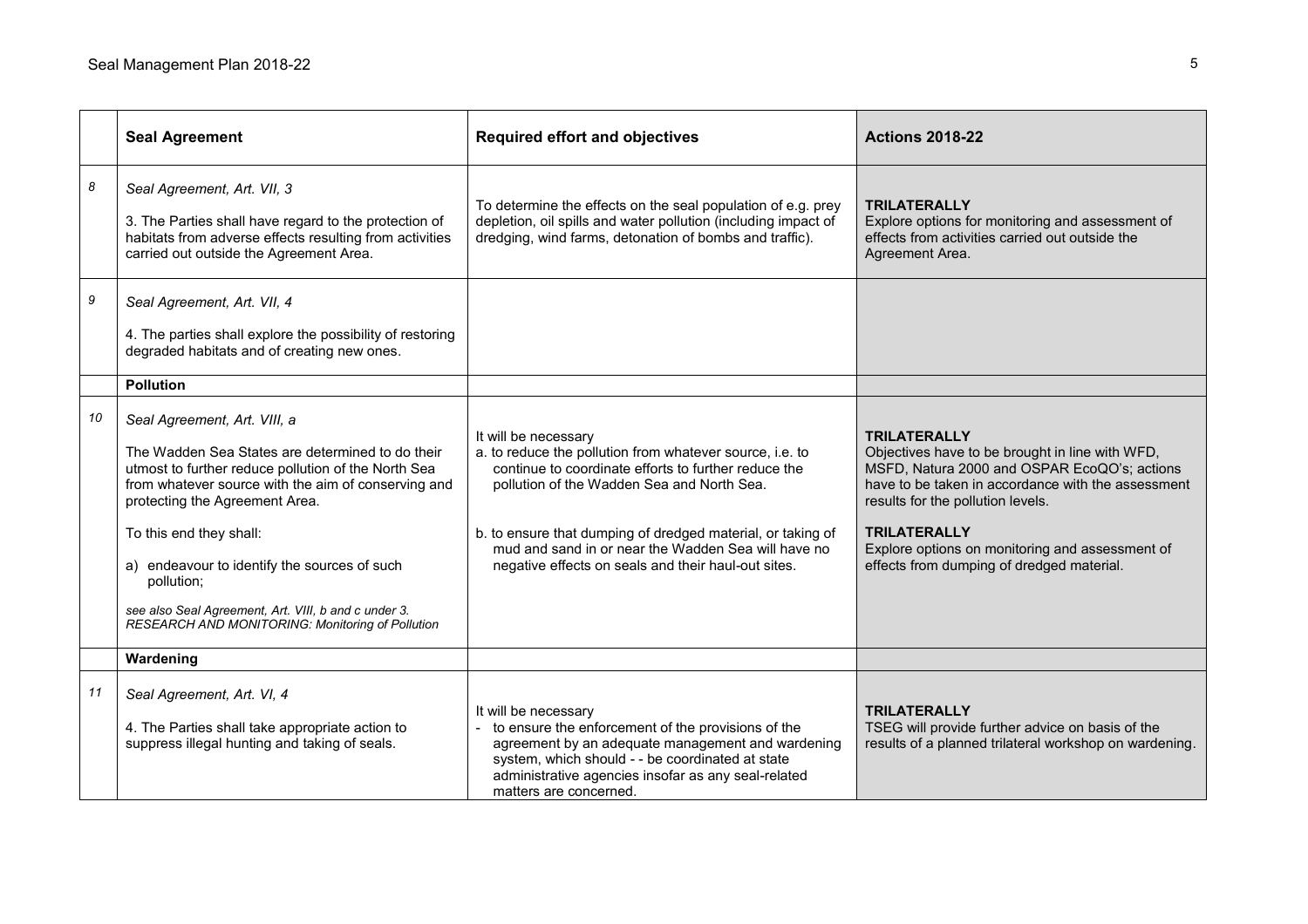|    | <b>Seal Agreement</b>                                                                                                                                                                                                                                                                                                                                                                                                                 | <b>Required effort and objectives</b>                                                                                                                                                                                                                                                                                                                               | <b>Actions 2018-22</b>                                                                                                                                                                                                                                                                                                                   |
|----|---------------------------------------------------------------------------------------------------------------------------------------------------------------------------------------------------------------------------------------------------------------------------------------------------------------------------------------------------------------------------------------------------------------------------------------|---------------------------------------------------------------------------------------------------------------------------------------------------------------------------------------------------------------------------------------------------------------------------------------------------------------------------------------------------------------------|------------------------------------------------------------------------------------------------------------------------------------------------------------------------------------------------------------------------------------------------------------------------------------------------------------------------------------------|
| 8  | Seal Agreement, Art. VII, 3<br>3. The Parties shall have regard to the protection of<br>habitats from adverse effects resulting from activities<br>carried out outside the Agreement Area.                                                                                                                                                                                                                                            | To determine the effects on the seal population of e.g. prey<br>depletion, oil spills and water pollution (including impact of<br>dredging, wind farms, detonation of bombs and traffic).                                                                                                                                                                           | <b>TRILATERALLY</b><br>Explore options for monitoring and assessment of<br>effects from activities carried out outside the<br>Agreement Area.                                                                                                                                                                                            |
| 9  | Seal Agreement, Art. VII, 4<br>4. The parties shall explore the possibility of restoring<br>degraded habitats and of creating new ones.                                                                                                                                                                                                                                                                                               |                                                                                                                                                                                                                                                                                                                                                                     |                                                                                                                                                                                                                                                                                                                                          |
|    | <b>Pollution</b>                                                                                                                                                                                                                                                                                                                                                                                                                      |                                                                                                                                                                                                                                                                                                                                                                     |                                                                                                                                                                                                                                                                                                                                          |
| 10 | Seal Agreement, Art. VIII, a<br>The Wadden Sea States are determined to do their<br>utmost to further reduce pollution of the North Sea<br>from whatever source with the aim of conserving and<br>protecting the Agreement Area.<br>To this end they shall:<br>a) endeavour to identify the sources of such<br>pollution;<br>see also Seal Agreement, Art. VIII, b and c under 3.<br>RESEARCH AND MONITORING: Monitoring of Pollution | It will be necessary<br>a. to reduce the pollution from whatever source, i.e. to<br>continue to coordinate efforts to further reduce the<br>pollution of the Wadden Sea and North Sea.<br>b. to ensure that dumping of dredged material, or taking of<br>mud and sand in or near the Wadden Sea will have no<br>negative effects on seals and their haul-out sites. | <b>TRILATERALLY</b><br>Objectives have to be brought in line with WFD,<br>MSFD, Natura 2000 and OSPAR EcoQO's; actions<br>have to be taken in accordance with the assessment<br>results for the pollution levels.<br><b>TRILATERALLY</b><br>Explore options on monitoring and assessment of<br>effects from dumping of dredged material. |
|    | Wardening                                                                                                                                                                                                                                                                                                                                                                                                                             |                                                                                                                                                                                                                                                                                                                                                                     |                                                                                                                                                                                                                                                                                                                                          |
| 11 | Seal Agreement, Art. VI, 4<br>4. The Parties shall take appropriate action to<br>suppress illegal hunting and taking of seals.                                                                                                                                                                                                                                                                                                        | It will be necessary<br>to ensure the enforcement of the provisions of the<br>agreement by an adequate management and wardening<br>system, which should - - be coordinated at state<br>administrative agencies insofar as any seal-related<br>matters are concerned.                                                                                                | <b>TRILATERALLY</b><br>TSEG will provide further advice on basis of the<br>results of a planned trilateral workshop on wardening.                                                                                                                                                                                                        |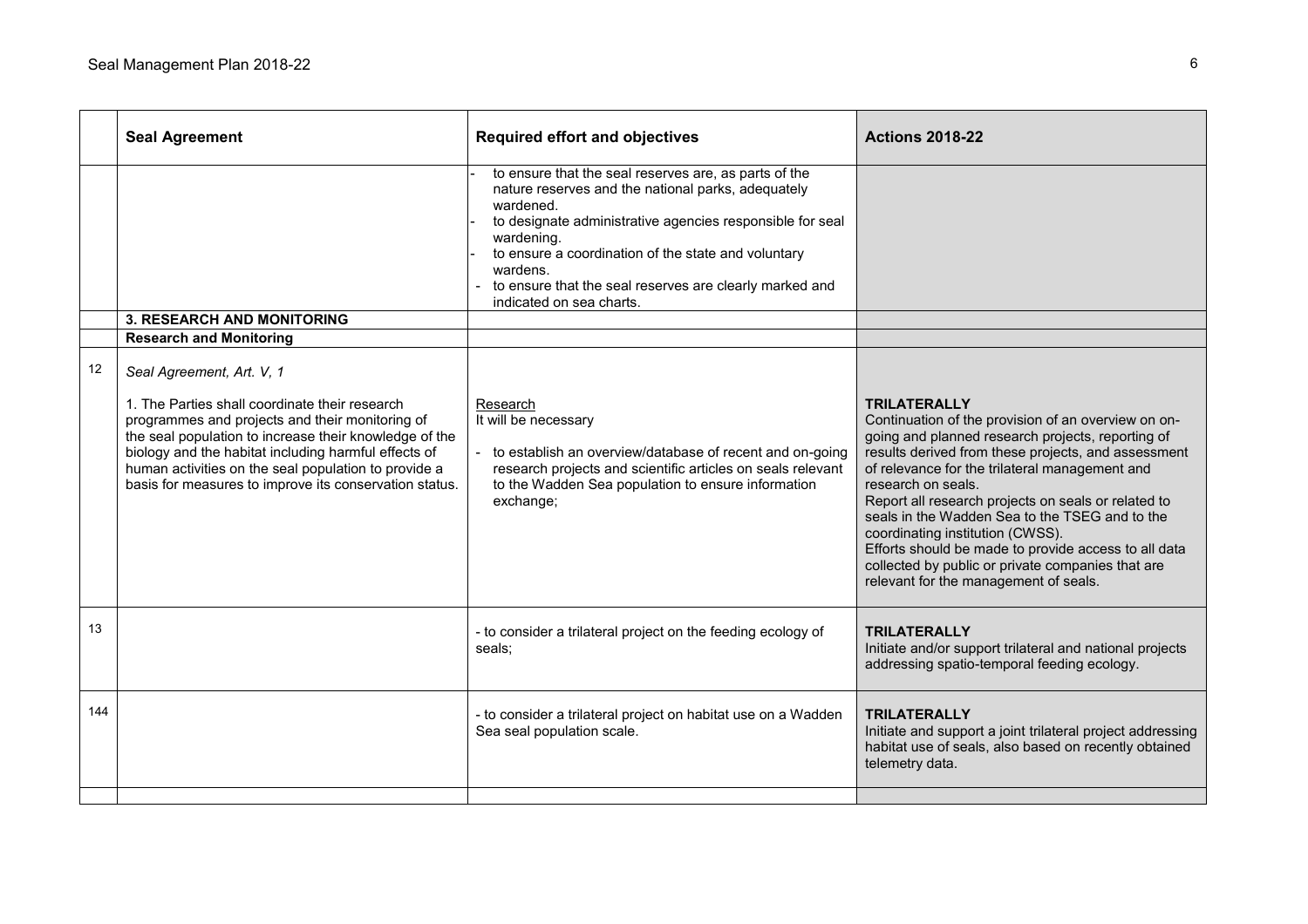|     | <b>Seal Agreement</b>                                                                                                                                                                                                                                                                                                                                                                                | <b>Required effort and objectives</b>                                                                                                                                                                                                                                                                                                                         | <b>Actions 2018-22</b>                                                                                                                                                                                                                                                                                                                                                                                                                                                                                                                                            |
|-----|------------------------------------------------------------------------------------------------------------------------------------------------------------------------------------------------------------------------------------------------------------------------------------------------------------------------------------------------------------------------------------------------------|---------------------------------------------------------------------------------------------------------------------------------------------------------------------------------------------------------------------------------------------------------------------------------------------------------------------------------------------------------------|-------------------------------------------------------------------------------------------------------------------------------------------------------------------------------------------------------------------------------------------------------------------------------------------------------------------------------------------------------------------------------------------------------------------------------------------------------------------------------------------------------------------------------------------------------------------|
|     |                                                                                                                                                                                                                                                                                                                                                                                                      | to ensure that the seal reserves are, as parts of the<br>nature reserves and the national parks, adequately<br>wardened.<br>to designate administrative agencies responsible for seal<br>wardening.<br>to ensure a coordination of the state and voluntary<br>wardens.<br>to ensure that the seal reserves are clearly marked and<br>indicated on sea charts. |                                                                                                                                                                                                                                                                                                                                                                                                                                                                                                                                                                   |
|     | <b>3. RESEARCH AND MONITORING</b>                                                                                                                                                                                                                                                                                                                                                                    |                                                                                                                                                                                                                                                                                                                                                               |                                                                                                                                                                                                                                                                                                                                                                                                                                                                                                                                                                   |
| 12  | <b>Research and Monitoring</b><br>Seal Agreement, Art. V, 1<br>1. The Parties shall coordinate their research<br>programmes and projects and their monitoring of<br>the seal population to increase their knowledge of the<br>biology and the habitat including harmful effects of<br>human activities on the seal population to provide a<br>basis for measures to improve its conservation status. | Research<br>It will be necessary<br>to establish an overview/database of recent and on-going<br>research projects and scientific articles on seals relevant<br>to the Wadden Sea population to ensure information<br>exchange;                                                                                                                                | <b>TRILATERALLY</b><br>Continuation of the provision of an overview on on-<br>going and planned research projects, reporting of<br>results derived from these projects, and assessment<br>of relevance for the trilateral management and<br>research on seals.<br>Report all research projects on seals or related to<br>seals in the Wadden Sea to the TSEG and to the<br>coordinating institution (CWSS).<br>Efforts should be made to provide access to all data<br>collected by public or private companies that are<br>relevant for the management of seals. |
| 13  |                                                                                                                                                                                                                                                                                                                                                                                                      | - to consider a trilateral project on the feeding ecology of<br>seals:                                                                                                                                                                                                                                                                                        | <b>TRILATERALLY</b><br>Initiate and/or support trilateral and national projects<br>addressing spatio-temporal feeding ecology.                                                                                                                                                                                                                                                                                                                                                                                                                                    |
| 144 |                                                                                                                                                                                                                                                                                                                                                                                                      | - to consider a trilateral project on habitat use on a Wadden<br>Sea seal population scale.                                                                                                                                                                                                                                                                   | <b>TRILATERALLY</b><br>Initiate and support a joint trilateral project addressing<br>habitat use of seals, also based on recently obtained<br>telemetry data.                                                                                                                                                                                                                                                                                                                                                                                                     |
|     |                                                                                                                                                                                                                                                                                                                                                                                                      |                                                                                                                                                                                                                                                                                                                                                               |                                                                                                                                                                                                                                                                                                                                                                                                                                                                                                                                                                   |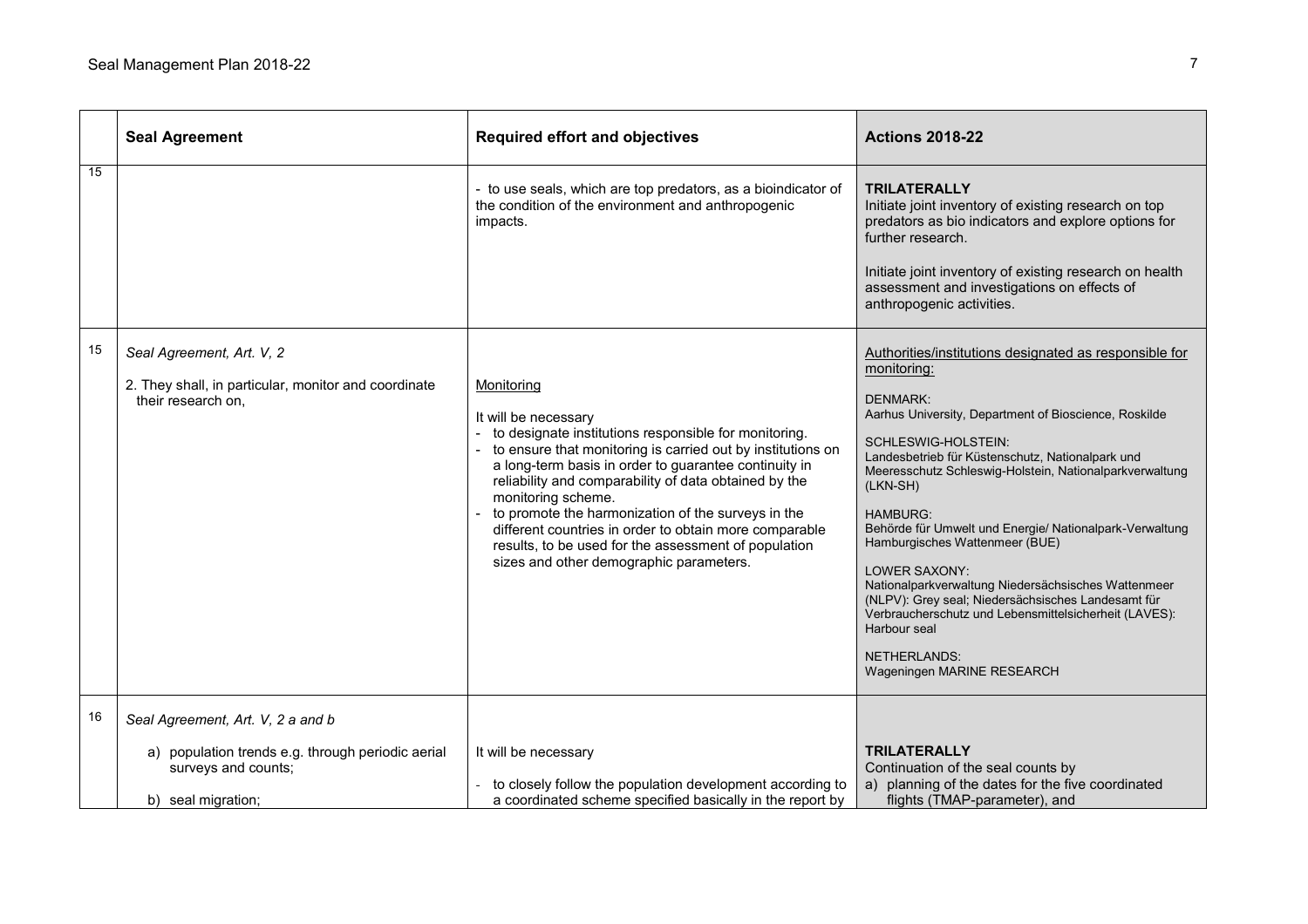|    | <b>Seal Agreement</b>                                                                                   | <b>Required effort and objectives</b>                                                                                                                                                                                                                                                                                                                                                                                                                                                                                 | <b>Actions 2018-22</b>                                                                                                                                                                                                                                                                                                                                                                                                                                                                                                                                                                                                                                                                 |
|----|---------------------------------------------------------------------------------------------------------|-----------------------------------------------------------------------------------------------------------------------------------------------------------------------------------------------------------------------------------------------------------------------------------------------------------------------------------------------------------------------------------------------------------------------------------------------------------------------------------------------------------------------|----------------------------------------------------------------------------------------------------------------------------------------------------------------------------------------------------------------------------------------------------------------------------------------------------------------------------------------------------------------------------------------------------------------------------------------------------------------------------------------------------------------------------------------------------------------------------------------------------------------------------------------------------------------------------------------|
| 15 |                                                                                                         | - to use seals, which are top predators, as a bioindicator of<br>the condition of the environment and anthropogenic<br>impacts.                                                                                                                                                                                                                                                                                                                                                                                       | <b>TRILATERALLY</b><br>Initiate joint inventory of existing research on top<br>predators as bio indicators and explore options for<br>further research.<br>Initiate joint inventory of existing research on health<br>assessment and investigations on effects of<br>anthropogenic activities.                                                                                                                                                                                                                                                                                                                                                                                         |
| 15 | Seal Agreement, Art. V, 2<br>2. They shall, in particular, monitor and coordinate<br>their research on, | Monitoring<br>It will be necessary<br>to designate institutions responsible for monitoring.<br>to ensure that monitoring is carried out by institutions on<br>a long-term basis in order to guarantee continuity in<br>reliability and comparability of data obtained by the<br>monitoring scheme.<br>to promote the harmonization of the surveys in the<br>different countries in order to obtain more comparable<br>results, to be used for the assessment of population<br>sizes and other demographic parameters. | Authorities/institutions designated as responsible for<br>monitoring:<br><b>DENMARK:</b><br>Aarhus University, Department of Bioscience, Roskilde<br>SCHLESWIG-HOLSTEIN:<br>Landesbetrieb für Küstenschutz, Nationalpark und<br>Meeresschutz Schleswig-Holstein, Nationalparkverwaltung<br>(LKN-SH)<br><b>HAMBURG:</b><br>Behörde für Umwelt und Energie/ Nationalpark-Verwaltung<br>Hamburgisches Wattenmeer (BUE)<br><b>LOWER SAXONY:</b><br>Nationalparkverwaltung Niedersächsisches Wattenmeer<br>(NLPV): Grey seal; Niedersächsisches Landesamt für<br>Verbraucherschutz und Lebensmittelsicherheit (LAVES):<br>Harbour seal<br><b>NETHERLANDS:</b><br>Wageningen MARINE RESEARCH |
| 16 | Seal Agreement, Art. V, 2 a and b<br>a) population trends e.g. through periodic aerial                  | It will be necessary                                                                                                                                                                                                                                                                                                                                                                                                                                                                                                  | <b>TRILATERALLY</b>                                                                                                                                                                                                                                                                                                                                                                                                                                                                                                                                                                                                                                                                    |
|    | surveys and counts;<br>b) seal migration;                                                               | to closely follow the population development according to<br>a coordinated scheme specified basically in the report by                                                                                                                                                                                                                                                                                                                                                                                                | Continuation of the seal counts by<br>a) planning of the dates for the five coordinated<br>flights (TMAP-parameter), and                                                                                                                                                                                                                                                                                                                                                                                                                                                                                                                                                               |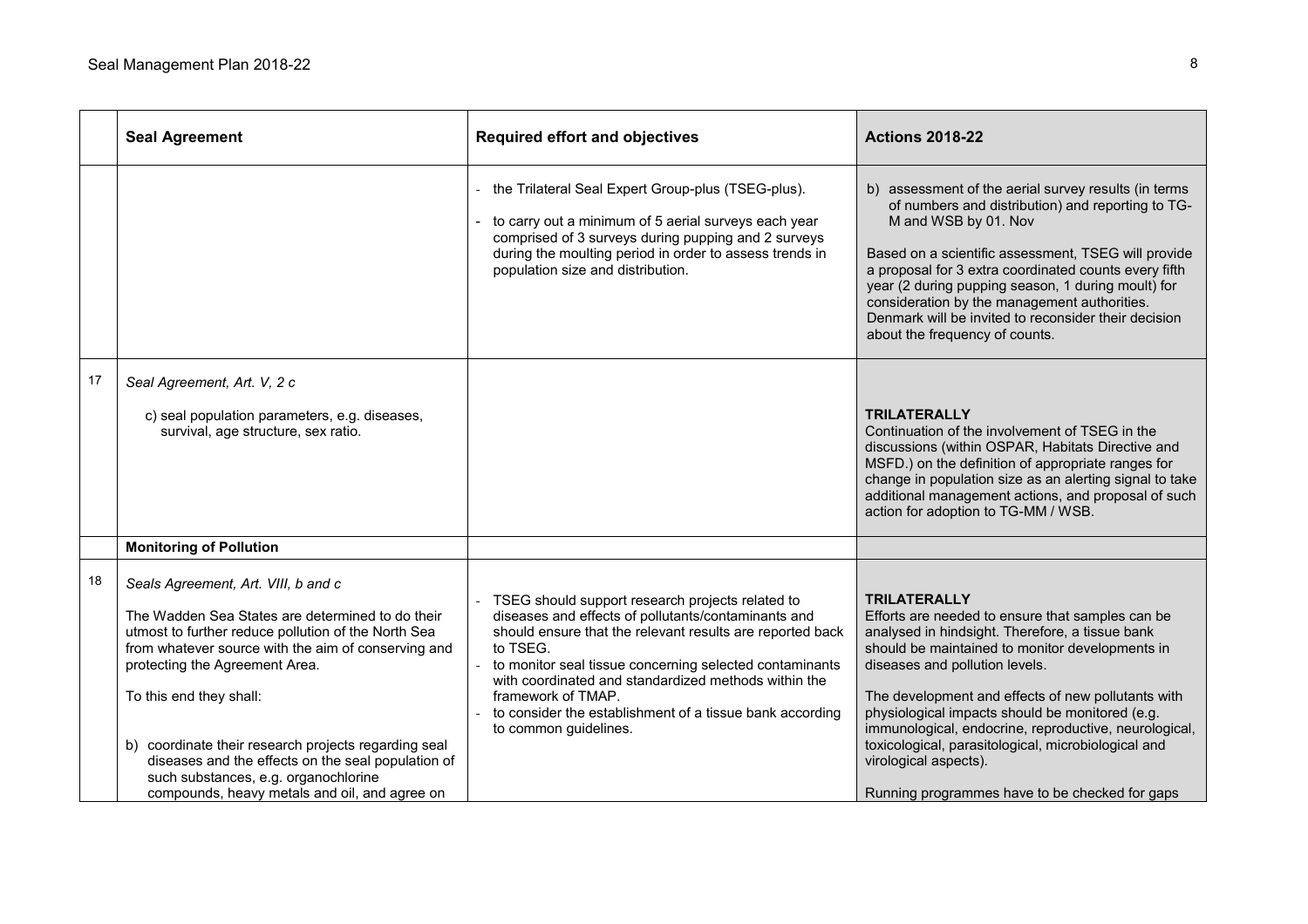|    | <b>Seal Agreement</b>                                                                                                                                                                                                                                                                                                                                                                                                                                                     | <b>Required effort and objectives</b>                                                                                                                                                                                                                                                                                                                                                                          | <b>Actions 2018-22</b>                                                                                                                                                                                                                                                                                                                                                                                                                                                                                              |
|----|---------------------------------------------------------------------------------------------------------------------------------------------------------------------------------------------------------------------------------------------------------------------------------------------------------------------------------------------------------------------------------------------------------------------------------------------------------------------------|----------------------------------------------------------------------------------------------------------------------------------------------------------------------------------------------------------------------------------------------------------------------------------------------------------------------------------------------------------------------------------------------------------------|---------------------------------------------------------------------------------------------------------------------------------------------------------------------------------------------------------------------------------------------------------------------------------------------------------------------------------------------------------------------------------------------------------------------------------------------------------------------------------------------------------------------|
|    |                                                                                                                                                                                                                                                                                                                                                                                                                                                                           | the Trilateral Seal Expert Group-plus (TSEG-plus).<br>to carry out a minimum of 5 aerial surveys each year<br>comprised of 3 surveys during pupping and 2 surveys<br>during the moulting period in order to assess trends in<br>population size and distribution.                                                                                                                                              | b) assessment of the aerial survey results (in terms<br>of numbers and distribution) and reporting to TG-<br>M and WSB by 01. Nov<br>Based on a scientific assessment, TSEG will provide<br>a proposal for 3 extra coordinated counts every fifth<br>year (2 during pupping season, 1 during moult) for<br>consideration by the management authorities.<br>Denmark will be invited to reconsider their decision<br>about the frequency of counts.                                                                   |
| 17 | Seal Agreement, Art. V, 2 c<br>c) seal population parameters, e.g. diseases,<br>survival, age structure, sex ratio.                                                                                                                                                                                                                                                                                                                                                       |                                                                                                                                                                                                                                                                                                                                                                                                                | <b>TRILATERALLY</b><br>Continuation of the involvement of TSEG in the<br>discussions (within OSPAR, Habitats Directive and<br>MSFD.) on the definition of appropriate ranges for<br>change in population size as an alerting signal to take<br>additional management actions, and proposal of such<br>action for adoption to TG-MM / WSB.                                                                                                                                                                           |
|    | <b>Monitoring of Pollution</b>                                                                                                                                                                                                                                                                                                                                                                                                                                            |                                                                                                                                                                                                                                                                                                                                                                                                                |                                                                                                                                                                                                                                                                                                                                                                                                                                                                                                                     |
| 18 | Seals Agreement, Art. VIII, b and c<br>The Wadden Sea States are determined to do their<br>utmost to further reduce pollution of the North Sea<br>from whatever source with the aim of conserving and<br>protecting the Agreement Area.<br>To this end they shall:<br>b) coordinate their research projects regarding seal<br>diseases and the effects on the seal population of<br>such substances, e.g. organochlorine<br>compounds, heavy metals and oil, and agree on | TSEG should support research projects related to<br>diseases and effects of pollutants/contaminants and<br>should ensure that the relevant results are reported back<br>to TSEG.<br>to monitor seal tissue concerning selected contaminants<br>with coordinated and standardized methods within the<br>framework of TMAP.<br>to consider the establishment of a tissue bank according<br>to common guidelines. | <b>TRILATERALLY</b><br>Efforts are needed to ensure that samples can be<br>analysed in hindsight. Therefore, a tissue bank<br>should be maintained to monitor developments in<br>diseases and pollution levels.<br>The development and effects of new pollutants with<br>physiological impacts should be monitored (e.g.<br>immunological, endocrine, reproductive, neurological,<br>toxicological, parasitological, microbiological and<br>virological aspects).<br>Running programmes have to be checked for gaps |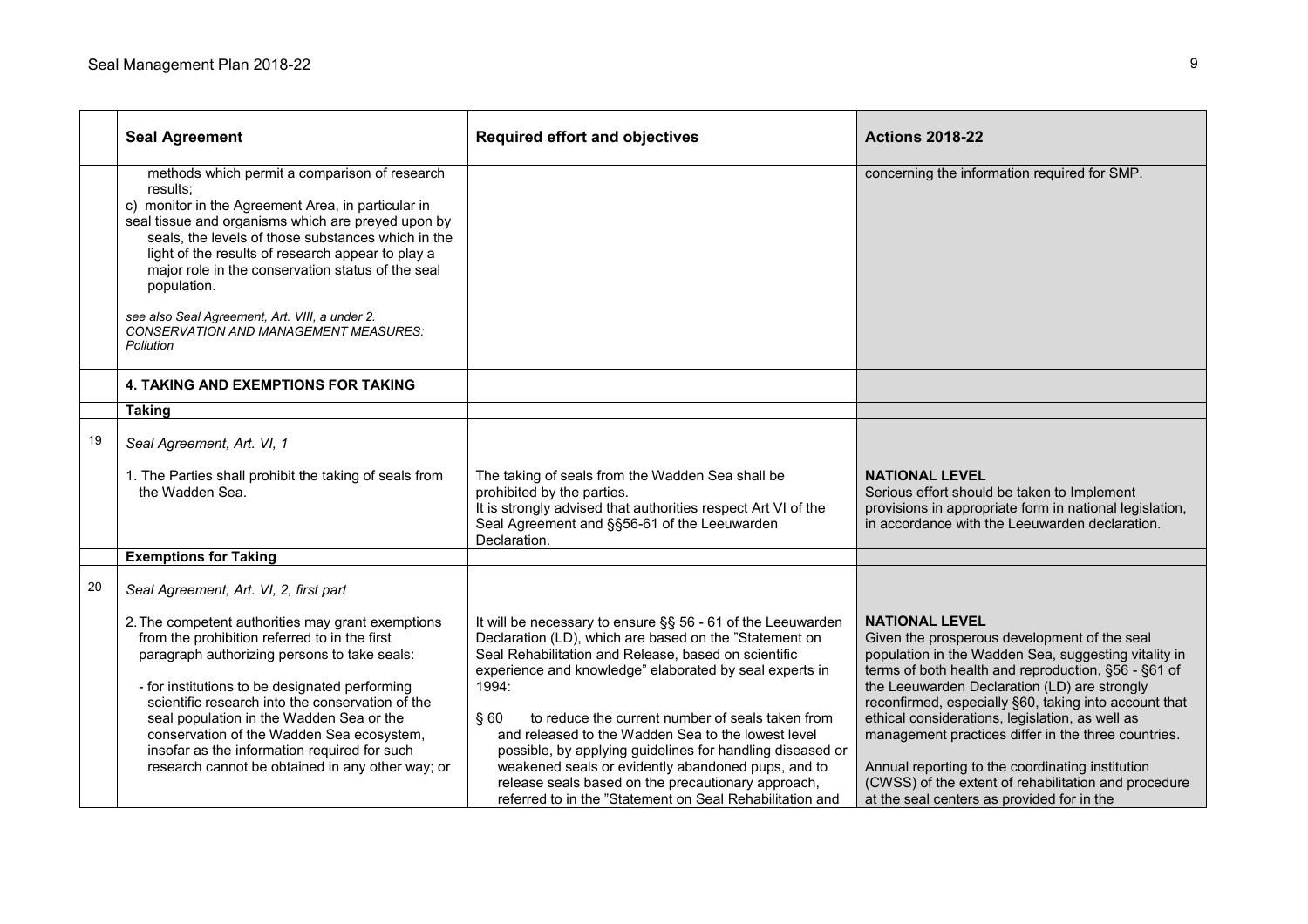|    | <b>Seal Agreement</b>                                                                                                                                                                                                                                                                                                                                                                                                                                               | <b>Required effort and objectives</b>                                                                                                                                                                                                                                                                                                                                                                                                                                                                                                                                                                   | <b>Actions 2018-22</b>                                                                                                                                                                                                                                                                                                                                                                                                                                                                                                                                            |
|----|---------------------------------------------------------------------------------------------------------------------------------------------------------------------------------------------------------------------------------------------------------------------------------------------------------------------------------------------------------------------------------------------------------------------------------------------------------------------|---------------------------------------------------------------------------------------------------------------------------------------------------------------------------------------------------------------------------------------------------------------------------------------------------------------------------------------------------------------------------------------------------------------------------------------------------------------------------------------------------------------------------------------------------------------------------------------------------------|-------------------------------------------------------------------------------------------------------------------------------------------------------------------------------------------------------------------------------------------------------------------------------------------------------------------------------------------------------------------------------------------------------------------------------------------------------------------------------------------------------------------------------------------------------------------|
|    | methods which permit a comparison of research<br>results:<br>c) monitor in the Agreement Area, in particular in<br>seal tissue and organisms which are preyed upon by<br>seals, the levels of those substances which in the<br>light of the results of research appear to play a<br>major role in the conservation status of the seal<br>population.<br>see also Seal Agreement, Art. VIII, a under 2.<br><b>CONSERVATION AND MANAGEMENT MEASURES:</b><br>Pollution |                                                                                                                                                                                                                                                                                                                                                                                                                                                                                                                                                                                                         | concerning the information required for SMP.                                                                                                                                                                                                                                                                                                                                                                                                                                                                                                                      |
|    | <b>4. TAKING AND EXEMPTIONS FOR TAKING</b>                                                                                                                                                                                                                                                                                                                                                                                                                          |                                                                                                                                                                                                                                                                                                                                                                                                                                                                                                                                                                                                         |                                                                                                                                                                                                                                                                                                                                                                                                                                                                                                                                                                   |
|    | <b>Taking</b>                                                                                                                                                                                                                                                                                                                                                                                                                                                       |                                                                                                                                                                                                                                                                                                                                                                                                                                                                                                                                                                                                         |                                                                                                                                                                                                                                                                                                                                                                                                                                                                                                                                                                   |
| 19 | Seal Agreement, Art. VI, 1                                                                                                                                                                                                                                                                                                                                                                                                                                          |                                                                                                                                                                                                                                                                                                                                                                                                                                                                                                                                                                                                         |                                                                                                                                                                                                                                                                                                                                                                                                                                                                                                                                                                   |
|    | 1. The Parties shall prohibit the taking of seals from<br>the Wadden Sea.                                                                                                                                                                                                                                                                                                                                                                                           | The taking of seals from the Wadden Sea shall be<br>prohibited by the parties.<br>It is strongly advised that authorities respect Art VI of the<br>Seal Agreement and §§56-61 of the Leeuwarden<br>Declaration.                                                                                                                                                                                                                                                                                                                                                                                         | <b>NATIONAL LEVEL</b><br>Serious effort should be taken to Implement<br>provisions in appropriate form in national legislation,<br>in accordance with the Leeuwarden declaration.                                                                                                                                                                                                                                                                                                                                                                                 |
|    | <b>Exemptions for Taking</b>                                                                                                                                                                                                                                                                                                                                                                                                                                        |                                                                                                                                                                                                                                                                                                                                                                                                                                                                                                                                                                                                         |                                                                                                                                                                                                                                                                                                                                                                                                                                                                                                                                                                   |
| 20 | Seal Agreement, Art. VI, 2, first part                                                                                                                                                                                                                                                                                                                                                                                                                              |                                                                                                                                                                                                                                                                                                                                                                                                                                                                                                                                                                                                         |                                                                                                                                                                                                                                                                                                                                                                                                                                                                                                                                                                   |
|    | 2. The competent authorities may grant exemptions<br>from the prohibition referred to in the first<br>paragraph authorizing persons to take seals:<br>- for institutions to be designated performing<br>scientific research into the conservation of the<br>seal population in the Wadden Sea or the<br>conservation of the Wadden Sea ecosystem,<br>insofar as the information required for such<br>research cannot be obtained in any other way; or               | It will be necessary to ensure §§ 56 - 61 of the Leeuwarden<br>Declaration (LD), which are based on the "Statement on<br>Seal Rehabilitation and Release, based on scientific<br>experience and knowledge" elaborated by seal experts in<br>1994:<br>§60<br>to reduce the current number of seals taken from<br>and released to the Wadden Sea to the lowest level<br>possible, by applying guidelines for handling diseased or<br>weakened seals or evidently abandoned pups, and to<br>release seals based on the precautionary approach,<br>referred to in the "Statement on Seal Rehabilitation and | <b>NATIONAL LEVEL</b><br>Given the prosperous development of the seal<br>population in the Wadden Sea, suggesting vitality in<br>terms of both health and reproduction, §56 - §61 of<br>the Leeuwarden Declaration (LD) are strongly<br>reconfirmed, especially §60, taking into account that<br>ethical considerations, legislation, as well as<br>management practices differ in the three countries.<br>Annual reporting to the coordinating institution<br>(CWSS) of the extent of rehabilitation and procedure<br>at the seal centers as provided for in the |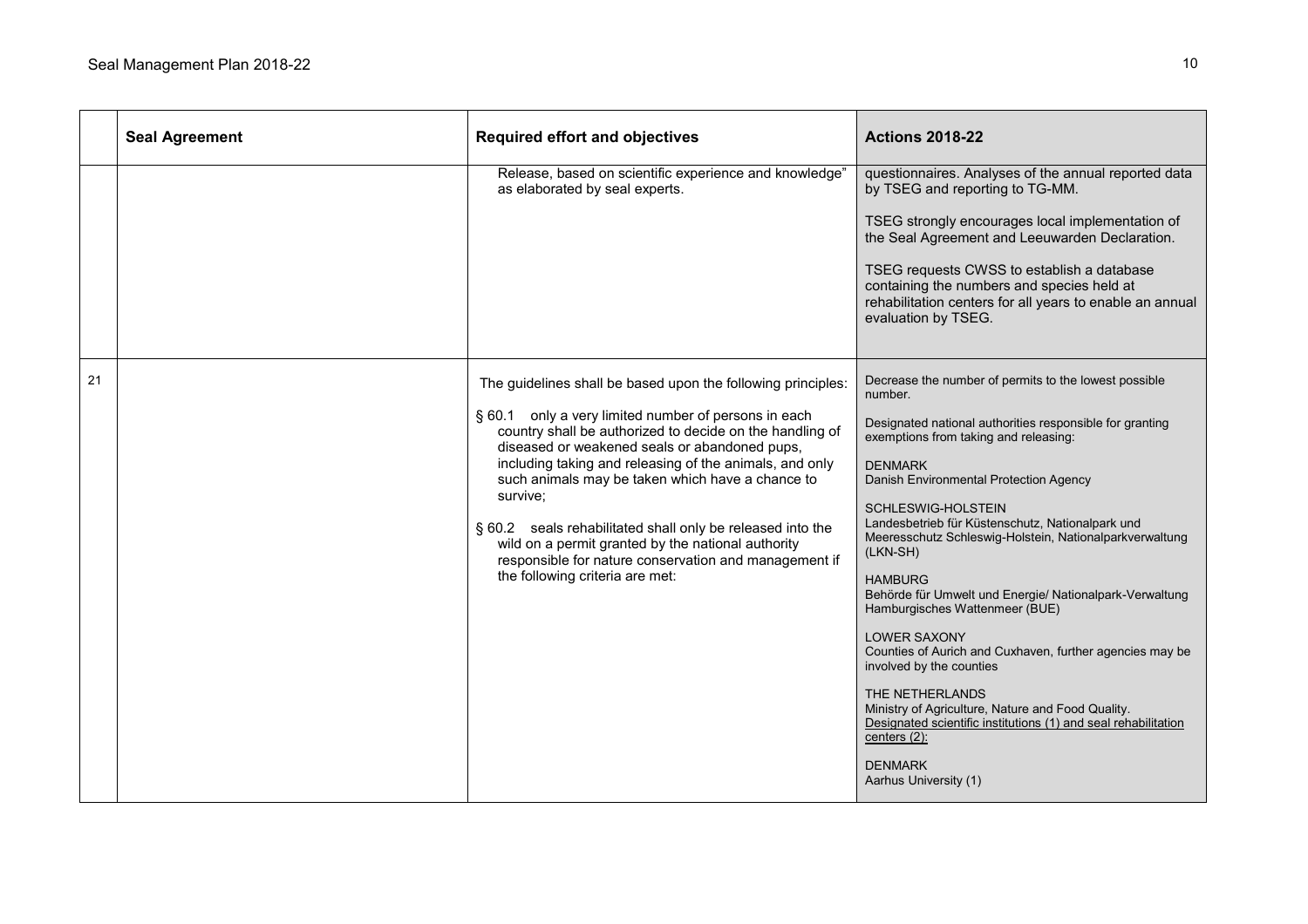|    | <b>Seal Agreement</b> | <b>Required effort and objectives</b>                                                                                                                                                                                                                                                                                                                                                                                                                                                                                                                                        | <b>Actions 2018-22</b>                                                                                                                                                                                                                                                                                                                                                                                                                                                                                                                                                                                                                                                                                                                                                                                                |
|----|-----------------------|------------------------------------------------------------------------------------------------------------------------------------------------------------------------------------------------------------------------------------------------------------------------------------------------------------------------------------------------------------------------------------------------------------------------------------------------------------------------------------------------------------------------------------------------------------------------------|-----------------------------------------------------------------------------------------------------------------------------------------------------------------------------------------------------------------------------------------------------------------------------------------------------------------------------------------------------------------------------------------------------------------------------------------------------------------------------------------------------------------------------------------------------------------------------------------------------------------------------------------------------------------------------------------------------------------------------------------------------------------------------------------------------------------------|
|    |                       | Release, based on scientific experience and knowledge"<br>as elaborated by seal experts.                                                                                                                                                                                                                                                                                                                                                                                                                                                                                     | questionnaires. Analyses of the annual reported data<br>by TSEG and reporting to TG-MM.<br>TSEG strongly encourages local implementation of<br>the Seal Agreement and Leeuwarden Declaration.<br>TSEG requests CWSS to establish a database<br>containing the numbers and species held at<br>rehabilitation centers for all years to enable an annual<br>evaluation by TSEG.                                                                                                                                                                                                                                                                                                                                                                                                                                          |
| 21 |                       | The guidelines shall be based upon the following principles:<br>§ 60.1 only a very limited number of persons in each<br>country shall be authorized to decide on the handling of<br>diseased or weakened seals or abandoned pups,<br>including taking and releasing of the animals, and only<br>such animals may be taken which have a chance to<br>survive;<br>§ 60.2 seals rehabilitated shall only be released into the<br>wild on a permit granted by the national authority<br>responsible for nature conservation and management if<br>the following criteria are met: | Decrease the number of permits to the lowest possible<br>number.<br>Designated national authorities responsible for granting<br>exemptions from taking and releasing:<br><b>DENMARK</b><br>Danish Environmental Protection Agency<br>SCHLESWIG-HOLSTEIN<br>Landesbetrieb für Küstenschutz, Nationalpark und<br>Meeresschutz Schleswig-Holstein, Nationalparkverwaltung<br>(LKN-SH)<br><b>HAMBURG</b><br>Behörde für Umwelt und Energie/ Nationalpark-Verwaltung<br>Hamburgisches Wattenmeer (BUE)<br><b>LOWER SAXONY</b><br>Counties of Aurich and Cuxhaven, further agencies may be<br>involved by the counties<br>THE NETHERLANDS<br>Ministry of Agriculture, Nature and Food Quality.<br>Designated scientific institutions (1) and seal rehabilitation<br>centers (2):<br><b>DENMARK</b><br>Aarhus University (1) |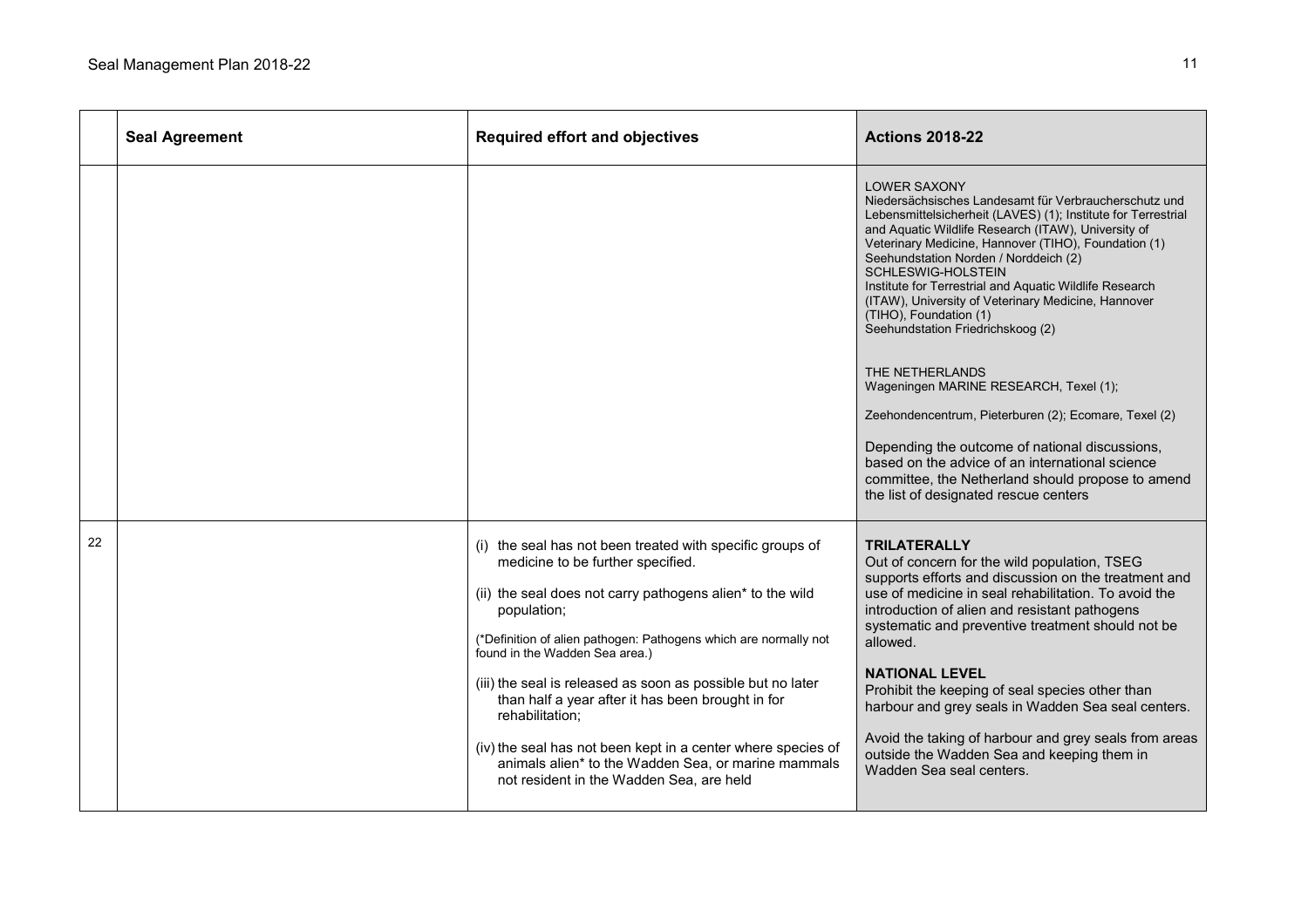|    | <b>Seal Agreement</b> | <b>Required effort and objectives</b>                                                                                                                                                                                                                                                                                                                                                                                                                                                                                                                                                      | <b>Actions 2018-22</b>                                                                                                                                                                                                                                                                                                                                                                                                                                                                                                                                                                                                                                                                                                                                                                                                                |
|----|-----------------------|--------------------------------------------------------------------------------------------------------------------------------------------------------------------------------------------------------------------------------------------------------------------------------------------------------------------------------------------------------------------------------------------------------------------------------------------------------------------------------------------------------------------------------------------------------------------------------------------|---------------------------------------------------------------------------------------------------------------------------------------------------------------------------------------------------------------------------------------------------------------------------------------------------------------------------------------------------------------------------------------------------------------------------------------------------------------------------------------------------------------------------------------------------------------------------------------------------------------------------------------------------------------------------------------------------------------------------------------------------------------------------------------------------------------------------------------|
|    |                       |                                                                                                                                                                                                                                                                                                                                                                                                                                                                                                                                                                                            | <b>LOWER SAXONY</b><br>Niedersächsisches Landesamt für Verbraucherschutz und<br>Lebensmittelsicherheit (LAVES) (1); Institute for Terrestrial<br>and Aquatic Wildlife Research (ITAW), University of<br>Veterinary Medicine, Hannover (TIHO), Foundation (1)<br>Seehundstation Norden / Norddeich (2)<br>SCHLESWIG-HOLSTEIN<br>Institute for Terrestrial and Aquatic Wildlife Research<br>(ITAW), University of Veterinary Medicine, Hannover<br>(TIHO), Foundation (1)<br>Seehundstation Friedrichskoog (2)<br>THE NETHERLANDS<br>Wageningen MARINE RESEARCH, Texel (1);<br>Zeehondencentrum, Pieterburen (2); Ecomare, Texel (2)<br>Depending the outcome of national discussions,<br>based on the advice of an international science<br>committee, the Netherland should propose to amend<br>the list of designated rescue centers |
| 22 |                       | (i) the seal has not been treated with specific groups of<br>medicine to be further specified.<br>(ii) the seal does not carry pathogens alien* to the wild<br>population;<br>(*Definition of alien pathogen: Pathogens which are normally not<br>found in the Wadden Sea area.)<br>(iii) the seal is released as soon as possible but no later<br>than half a year after it has been brought in for<br>rehabilitation:<br>(iv) the seal has not been kept in a center where species of<br>animals alien* to the Wadden Sea, or marine mammals<br>not resident in the Wadden Sea, are held | <b>TRILATERALLY</b><br>Out of concern for the wild population, TSEG<br>supports efforts and discussion on the treatment and<br>use of medicine in seal rehabilitation. To avoid the<br>introduction of alien and resistant pathogens<br>systematic and preventive treatment should not be<br>allowed.<br><b>NATIONAL LEVEL</b><br>Prohibit the keeping of seal species other than<br>harbour and grey seals in Wadden Sea seal centers.<br>Avoid the taking of harbour and grey seals from areas<br>outside the Wadden Sea and keeping them in<br>Wadden Sea seal centers.                                                                                                                                                                                                                                                            |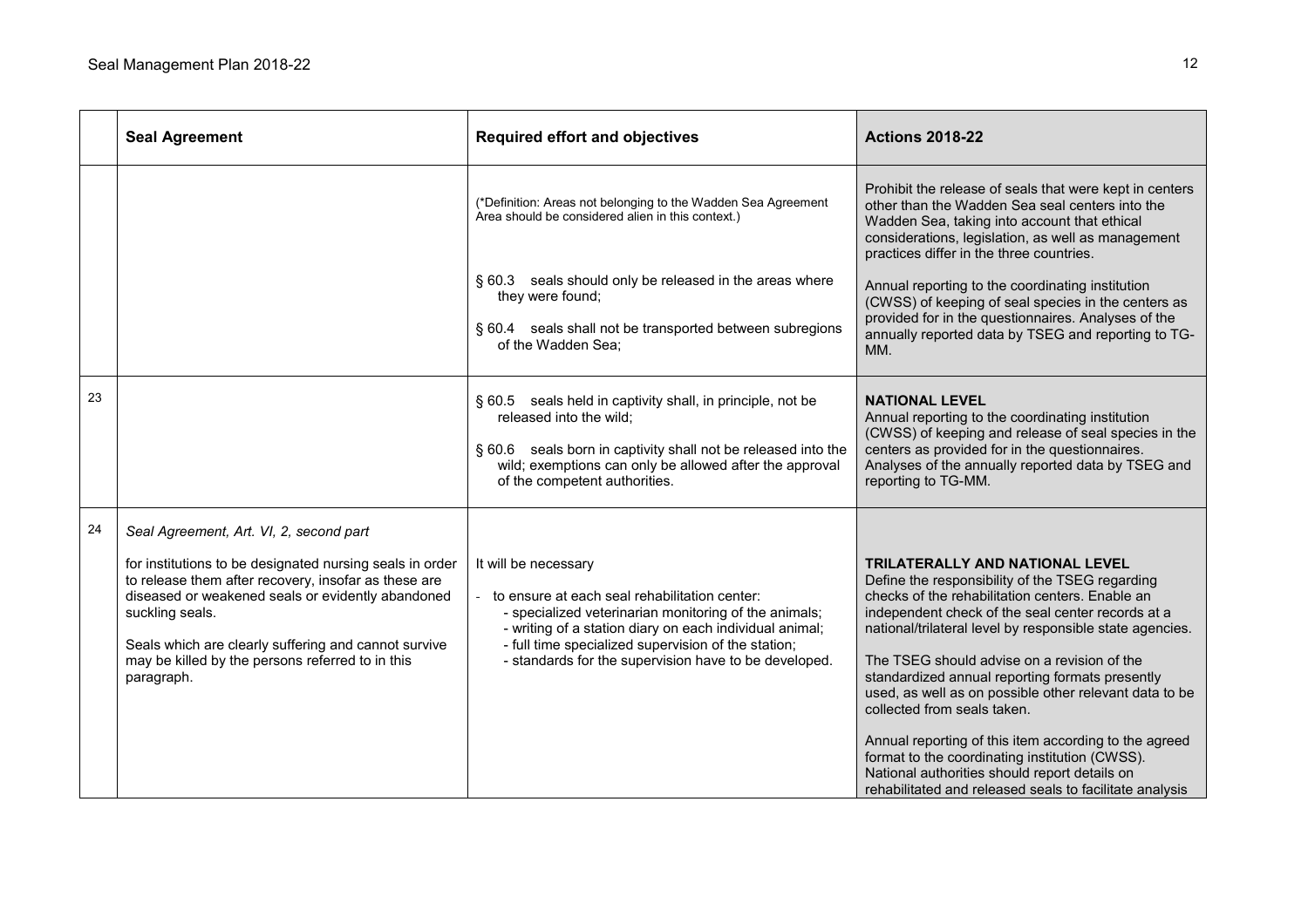|    | <b>Seal Agreement</b>                                                                                                                                                                                                                                                                                                                                         | <b>Required effort and objectives</b>                                                                                                                                                                                                                                                                     | <b>Actions 2018-22</b>                                                                                                                                                                                                                                                                                                                                                                                                                                                                                                                                                                                                                                                   |
|----|---------------------------------------------------------------------------------------------------------------------------------------------------------------------------------------------------------------------------------------------------------------------------------------------------------------------------------------------------------------|-----------------------------------------------------------------------------------------------------------------------------------------------------------------------------------------------------------------------------------------------------------------------------------------------------------|--------------------------------------------------------------------------------------------------------------------------------------------------------------------------------------------------------------------------------------------------------------------------------------------------------------------------------------------------------------------------------------------------------------------------------------------------------------------------------------------------------------------------------------------------------------------------------------------------------------------------------------------------------------------------|
|    |                                                                                                                                                                                                                                                                                                                                                               | (*Definition: Areas not belonging to the Wadden Sea Agreement<br>Area should be considered alien in this context.)                                                                                                                                                                                        | Prohibit the release of seals that were kept in centers<br>other than the Wadden Sea seal centers into the<br>Wadden Sea, taking into account that ethical<br>considerations, legislation, as well as management<br>practices differ in the three countries.                                                                                                                                                                                                                                                                                                                                                                                                             |
|    |                                                                                                                                                                                                                                                                                                                                                               | § 60.3 seals should only be released in the areas where<br>they were found;<br>§ 60.4 seals shall not be transported between subregions<br>of the Wadden Sea;                                                                                                                                             | Annual reporting to the coordinating institution<br>(CWSS) of keeping of seal species in the centers as<br>provided for in the questionnaires. Analyses of the<br>annually reported data by TSEG and reporting to TG-<br>MM.                                                                                                                                                                                                                                                                                                                                                                                                                                             |
| 23 |                                                                                                                                                                                                                                                                                                                                                               | § 60.5 seals held in captivity shall, in principle, not be<br>released into the wild;<br>§ 60.6 seals born in captivity shall not be released into the<br>wild; exemptions can only be allowed after the approval<br>of the competent authorities.                                                        | <b>NATIONAL LEVEL</b><br>Annual reporting to the coordinating institution<br>(CWSS) of keeping and release of seal species in the<br>centers as provided for in the questionnaires.<br>Analyses of the annually reported data by TSEG and<br>reporting to TG-MM.                                                                                                                                                                                                                                                                                                                                                                                                         |
| 24 | Seal Agreement, Art. VI, 2, second part<br>for institutions to be designated nursing seals in order<br>to release them after recovery, insofar as these are<br>diseased or weakened seals or evidently abandoned<br>suckling seals.<br>Seals which are clearly suffering and cannot survive<br>may be killed by the persons referred to in this<br>paragraph. | It will be necessary<br>to ensure at each seal rehabilitation center:<br>- specialized veterinarian monitoring of the animals;<br>- writing of a station diary on each individual animal;<br>- full time specialized supervision of the station;<br>- standards for the supervision have to be developed. | TRILATERALLY AND NATIONAL LEVEL<br>Define the responsibility of the TSEG regarding<br>checks of the rehabilitation centers. Enable an<br>independent check of the seal center records at a<br>national/trilateral level by responsible state agencies.<br>The TSEG should advise on a revision of the<br>standardized annual reporting formats presently<br>used, as well as on possible other relevant data to be<br>collected from seals taken.<br>Annual reporting of this item according to the agreed<br>format to the coordinating institution (CWSS).<br>National authorities should report details on<br>rehabilitated and released seals to facilitate analysis |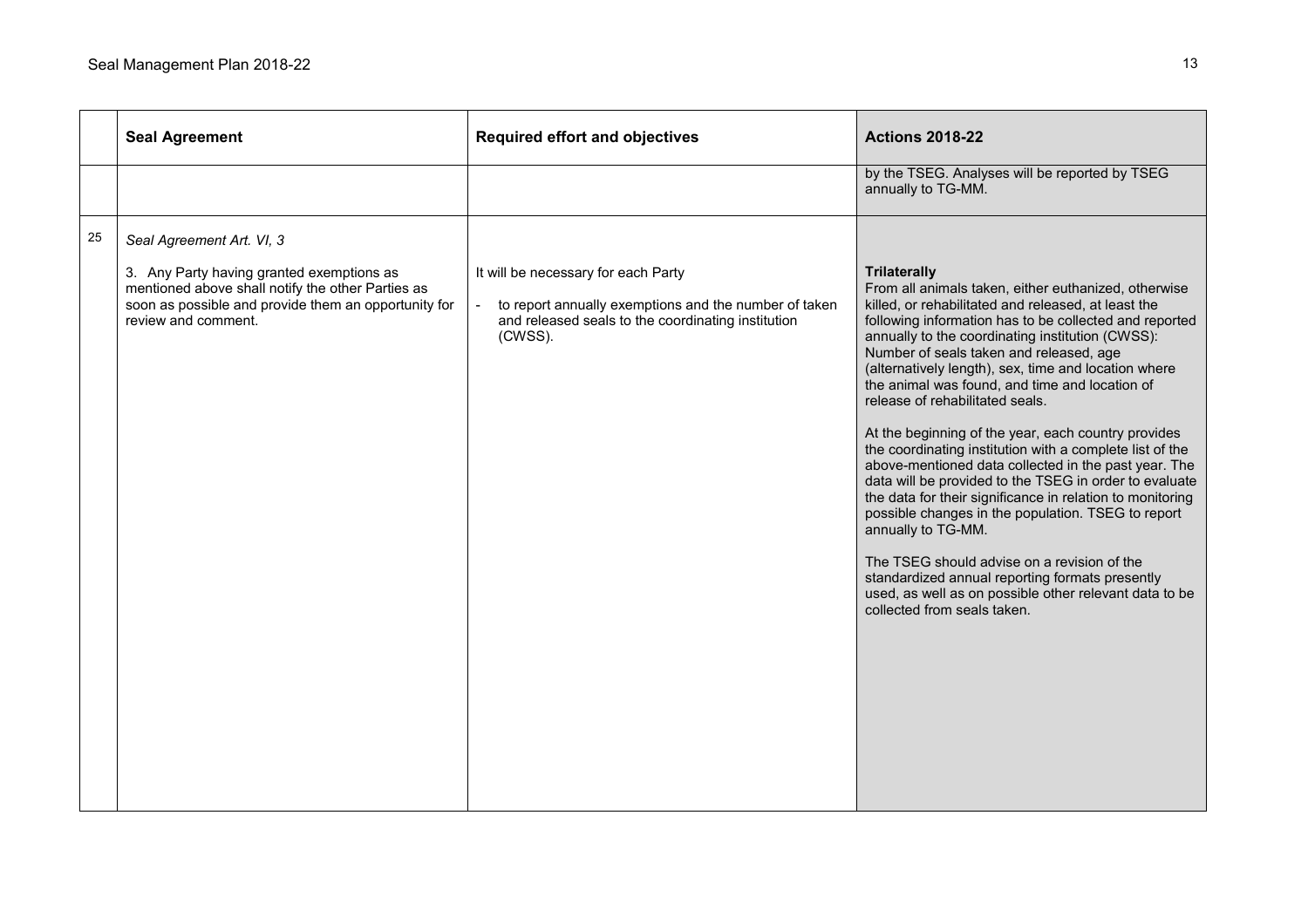|    | <b>Seal Agreement</b>                                                                                                                                                                                      | <b>Required effort and objectives</b>                                                                                                                         | <b>Actions 2018-22</b>                                                                                                                                                                                                                                                                                                                                                                                                                                                                                                                                                                                                                                                                                                                                                                                                                                                                                                                                                                                            |
|----|------------------------------------------------------------------------------------------------------------------------------------------------------------------------------------------------------------|---------------------------------------------------------------------------------------------------------------------------------------------------------------|-------------------------------------------------------------------------------------------------------------------------------------------------------------------------------------------------------------------------------------------------------------------------------------------------------------------------------------------------------------------------------------------------------------------------------------------------------------------------------------------------------------------------------------------------------------------------------------------------------------------------------------------------------------------------------------------------------------------------------------------------------------------------------------------------------------------------------------------------------------------------------------------------------------------------------------------------------------------------------------------------------------------|
|    |                                                                                                                                                                                                            |                                                                                                                                                               | by the TSEG. Analyses will be reported by TSEG<br>annually to TG-MM.                                                                                                                                                                                                                                                                                                                                                                                                                                                                                                                                                                                                                                                                                                                                                                                                                                                                                                                                              |
| 25 | Seal Agreement Art. VI, 3<br>3. Any Party having granted exemptions as<br>mentioned above shall notify the other Parties as<br>soon as possible and provide them an opportunity for<br>review and comment. | It will be necessary for each Party<br>to report annually exemptions and the number of taken<br>and released seals to the coordinating institution<br>(CWSS). | <b>Trilaterally</b><br>From all animals taken, either euthanized, otherwise<br>killed, or rehabilitated and released, at least the<br>following information has to be collected and reported<br>annually to the coordinating institution (CWSS):<br>Number of seals taken and released, age<br>(alternatively length), sex, time and location where<br>the animal was found, and time and location of<br>release of rehabilitated seals.<br>At the beginning of the year, each country provides<br>the coordinating institution with a complete list of the<br>above-mentioned data collected in the past year. The<br>data will be provided to the TSEG in order to evaluate<br>the data for their significance in relation to monitoring<br>possible changes in the population. TSEG to report<br>annually to TG-MM.<br>The TSEG should advise on a revision of the<br>standardized annual reporting formats presently<br>used, as well as on possible other relevant data to be<br>collected from seals taken. |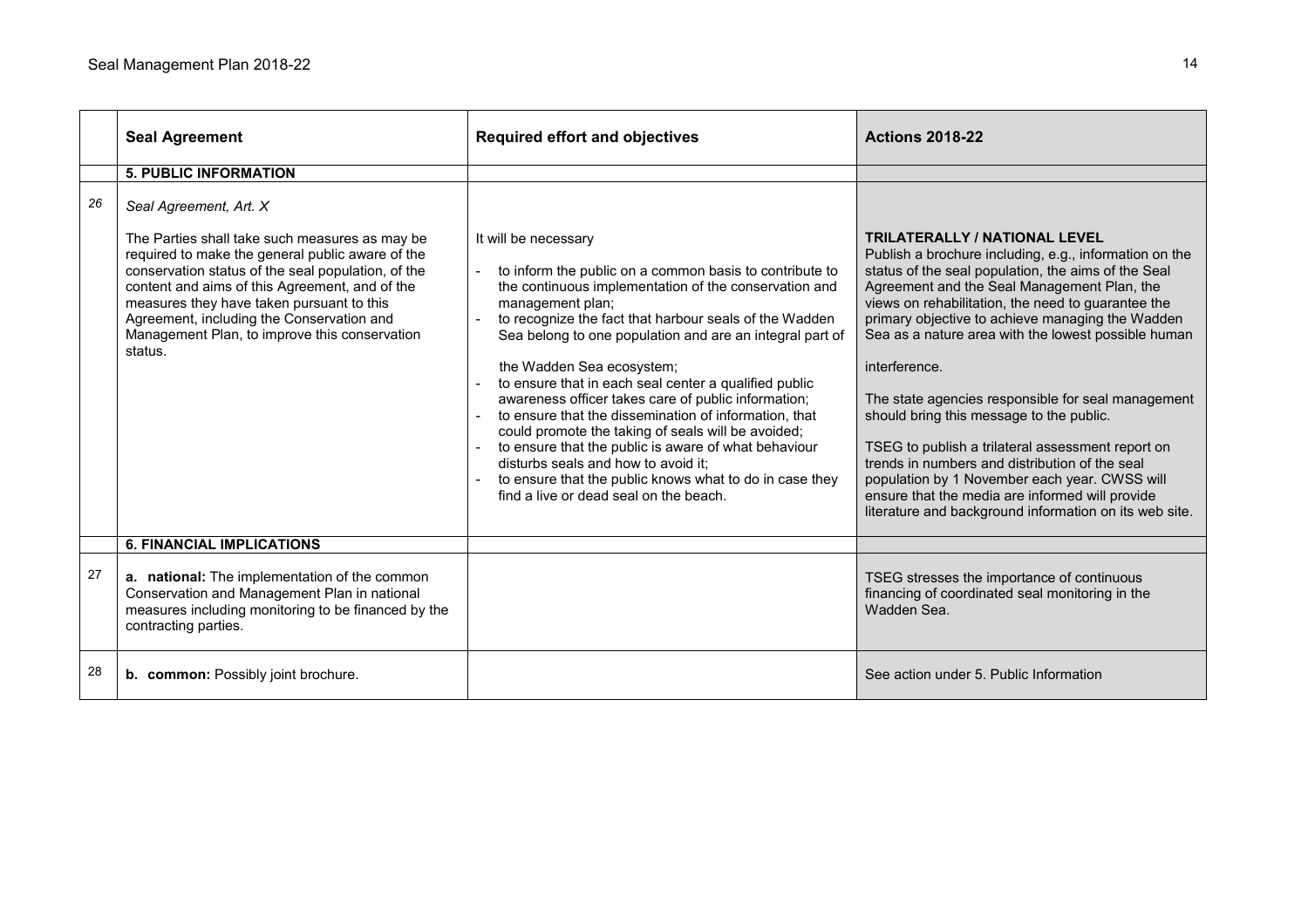|    | <b>Seal Agreement</b>                                                                                                                                                                                                                                                                                                                                                                      | <b>Required effort and objectives</b>                                                                                                                                                                                                                                                                                                                                                                                                                                                                                                                                                                                                                                                                                                              | <b>Actions 2018-22</b>                                                                                                                                                                                                                                                                                                                                                                                                                                                                                                                                                                                                                                                                                                                                        |
|----|--------------------------------------------------------------------------------------------------------------------------------------------------------------------------------------------------------------------------------------------------------------------------------------------------------------------------------------------------------------------------------------------|----------------------------------------------------------------------------------------------------------------------------------------------------------------------------------------------------------------------------------------------------------------------------------------------------------------------------------------------------------------------------------------------------------------------------------------------------------------------------------------------------------------------------------------------------------------------------------------------------------------------------------------------------------------------------------------------------------------------------------------------------|---------------------------------------------------------------------------------------------------------------------------------------------------------------------------------------------------------------------------------------------------------------------------------------------------------------------------------------------------------------------------------------------------------------------------------------------------------------------------------------------------------------------------------------------------------------------------------------------------------------------------------------------------------------------------------------------------------------------------------------------------------------|
|    | <b>5. PUBLIC INFORMATION</b>                                                                                                                                                                                                                                                                                                                                                               |                                                                                                                                                                                                                                                                                                                                                                                                                                                                                                                                                                                                                                                                                                                                                    |                                                                                                                                                                                                                                                                                                                                                                                                                                                                                                                                                                                                                                                                                                                                                               |
| 26 | Seal Agreement, Art. X<br>The Parties shall take such measures as may be<br>required to make the general public aware of the<br>conservation status of the seal population, of the<br>content and aims of this Agreement, and of the<br>measures they have taken pursuant to this<br>Agreement, including the Conservation and<br>Management Plan, to improve this conservation<br>status. | It will be necessary<br>to inform the public on a common basis to contribute to<br>the continuous implementation of the conservation and<br>management plan;<br>to recognize the fact that harbour seals of the Wadden<br>Sea belong to one population and are an integral part of<br>the Wadden Sea ecosystem;<br>to ensure that in each seal center a qualified public<br>awareness officer takes care of public information;<br>to ensure that the dissemination of information, that<br>could promote the taking of seals will be avoided;<br>to ensure that the public is aware of what behaviour<br>disturbs seals and how to avoid it;<br>to ensure that the public knows what to do in case they<br>find a live or dead seal on the beach. | <b>TRILATERALLY / NATIONAL LEVEL</b><br>Publish a brochure including, e.g., information on the<br>status of the seal population, the aims of the Seal<br>Agreement and the Seal Management Plan, the<br>views on rehabilitation, the need to guarantee the<br>primary objective to achieve managing the Wadden<br>Sea as a nature area with the lowest possible human<br>interference.<br>The state agencies responsible for seal management<br>should bring this message to the public.<br>TSEG to publish a trilateral assessment report on<br>trends in numbers and distribution of the seal<br>population by 1 November each year. CWSS will<br>ensure that the media are informed will provide<br>literature and background information on its web site. |
|    |                                                                                                                                                                                                                                                                                                                                                                                            |                                                                                                                                                                                                                                                                                                                                                                                                                                                                                                                                                                                                                                                                                                                                                    |                                                                                                                                                                                                                                                                                                                                                                                                                                                                                                                                                                                                                                                                                                                                                               |
|    | <b>6. FINANCIAL IMPLICATIONS</b>                                                                                                                                                                                                                                                                                                                                                           |                                                                                                                                                                                                                                                                                                                                                                                                                                                                                                                                                                                                                                                                                                                                                    |                                                                                                                                                                                                                                                                                                                                                                                                                                                                                                                                                                                                                                                                                                                                                               |
| 27 | a. national: The implementation of the common<br>Conservation and Management Plan in national<br>measures including monitoring to be financed by the<br>contracting parties.                                                                                                                                                                                                               |                                                                                                                                                                                                                                                                                                                                                                                                                                                                                                                                                                                                                                                                                                                                                    | TSEG stresses the importance of continuous<br>financing of coordinated seal monitoring in the<br>Wadden Sea.                                                                                                                                                                                                                                                                                                                                                                                                                                                                                                                                                                                                                                                  |
| 28 | b. common: Possibly joint brochure.                                                                                                                                                                                                                                                                                                                                                        |                                                                                                                                                                                                                                                                                                                                                                                                                                                                                                                                                                                                                                                                                                                                                    | See action under 5. Public Information                                                                                                                                                                                                                                                                                                                                                                                                                                                                                                                                                                                                                                                                                                                        |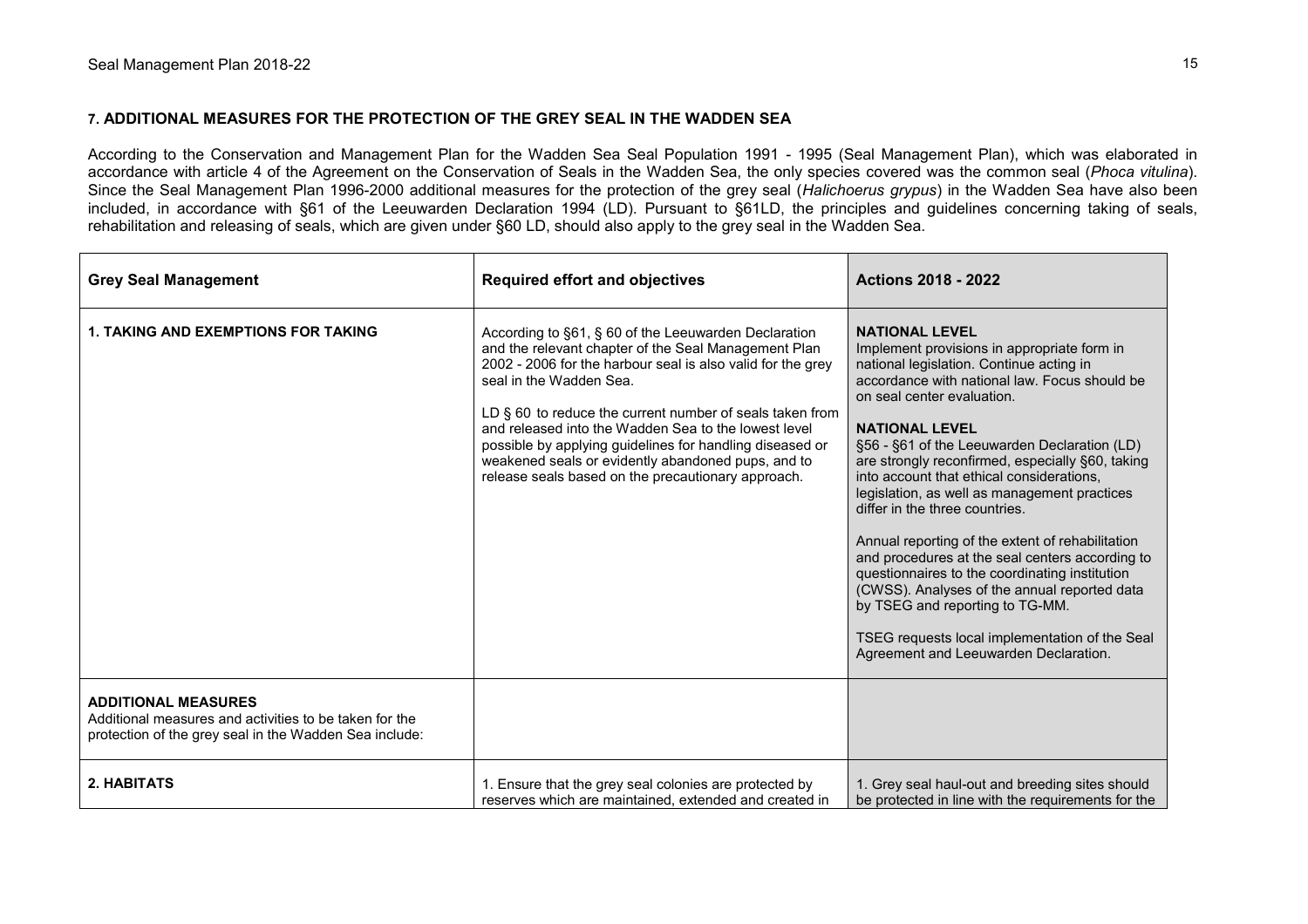#### **7. ADDITIONAL MEASURES FOR THE PROTECTION OF THE GREY SEAL IN THE WADDEN SEA**

According to the Conservation and Management Plan for the Wadden Sea Seal Population 1991 - 1995 (Seal Management Plan), which was elaborated in accordance with article 4 of the Agreement on the Conservation of Seals in the Wadden Sea, the only species covered was the common seal (*Phoca vitulina*). Since the Seal Management Plan 1996-2000 additional measures for the protection of the grey seal (*Halichoerus grypus*) in the Wadden Sea have also been included, in accordance with §61 of the Leeuwarden Declaration 1994 (LD). Pursuant to §61LD, the principles and guidelines concerning taking of seals, rehabilitation and releasing of seals, which are given under §60 LD, should also apply to the grey seal in the Wadden Sea.

| <b>Grey Seal Management</b>                                                                                                                    | <b>Required effort and objectives</b>                                                                                                                                                                                                                                                                                                                                                                                                                                                                 | <b>Actions 2018 - 2022</b>                                                                                                                                                                                                                                                                                                                                                                                                                                                                                                                                                                                                                                                                                                                                                                         |
|------------------------------------------------------------------------------------------------------------------------------------------------|-------------------------------------------------------------------------------------------------------------------------------------------------------------------------------------------------------------------------------------------------------------------------------------------------------------------------------------------------------------------------------------------------------------------------------------------------------------------------------------------------------|----------------------------------------------------------------------------------------------------------------------------------------------------------------------------------------------------------------------------------------------------------------------------------------------------------------------------------------------------------------------------------------------------------------------------------------------------------------------------------------------------------------------------------------------------------------------------------------------------------------------------------------------------------------------------------------------------------------------------------------------------------------------------------------------------|
| <b>1. TAKING AND EXEMPTIONS FOR TAKING</b>                                                                                                     | According to §61, § 60 of the Leeuwarden Declaration<br>and the relevant chapter of the Seal Management Plan<br>2002 - 2006 for the harbour seal is also valid for the grey<br>seal in the Wadden Sea.<br>LD $\S$ 60 to reduce the current number of seals taken from<br>and released into the Wadden Sea to the lowest level<br>possible by applying guidelines for handling diseased or<br>weakened seals or evidently abandoned pups, and to<br>release seals based on the precautionary approach. | <b>NATIONAL LEVEL</b><br>Implement provisions in appropriate form in<br>national legislation. Continue acting in<br>accordance with national law. Focus should be<br>on seal center evaluation.<br><b>NATIONAL LEVEL</b><br>§56 - §61 of the Leeuwarden Declaration (LD)<br>are strongly reconfirmed, especially §60, taking<br>into account that ethical considerations,<br>legislation, as well as management practices<br>differ in the three countries.<br>Annual reporting of the extent of rehabilitation<br>and procedures at the seal centers according to<br>questionnaires to the coordinating institution<br>(CWSS). Analyses of the annual reported data<br>by TSEG and reporting to TG-MM.<br>TSEG requests local implementation of the Seal<br>Agreement and Leeuwarden Declaration. |
| <b>ADDITIONAL MEASURES</b><br>Additional measures and activities to be taken for the<br>protection of the grey seal in the Wadden Sea include: |                                                                                                                                                                                                                                                                                                                                                                                                                                                                                                       |                                                                                                                                                                                                                                                                                                                                                                                                                                                                                                                                                                                                                                                                                                                                                                                                    |
| 2. HABITATS                                                                                                                                    | 1. Ensure that the grey seal colonies are protected by<br>reserves which are maintained, extended and created in                                                                                                                                                                                                                                                                                                                                                                                      | 1. Grey seal haul-out and breeding sites should<br>be protected in line with the requirements for the                                                                                                                                                                                                                                                                                                                                                                                                                                                                                                                                                                                                                                                                                              |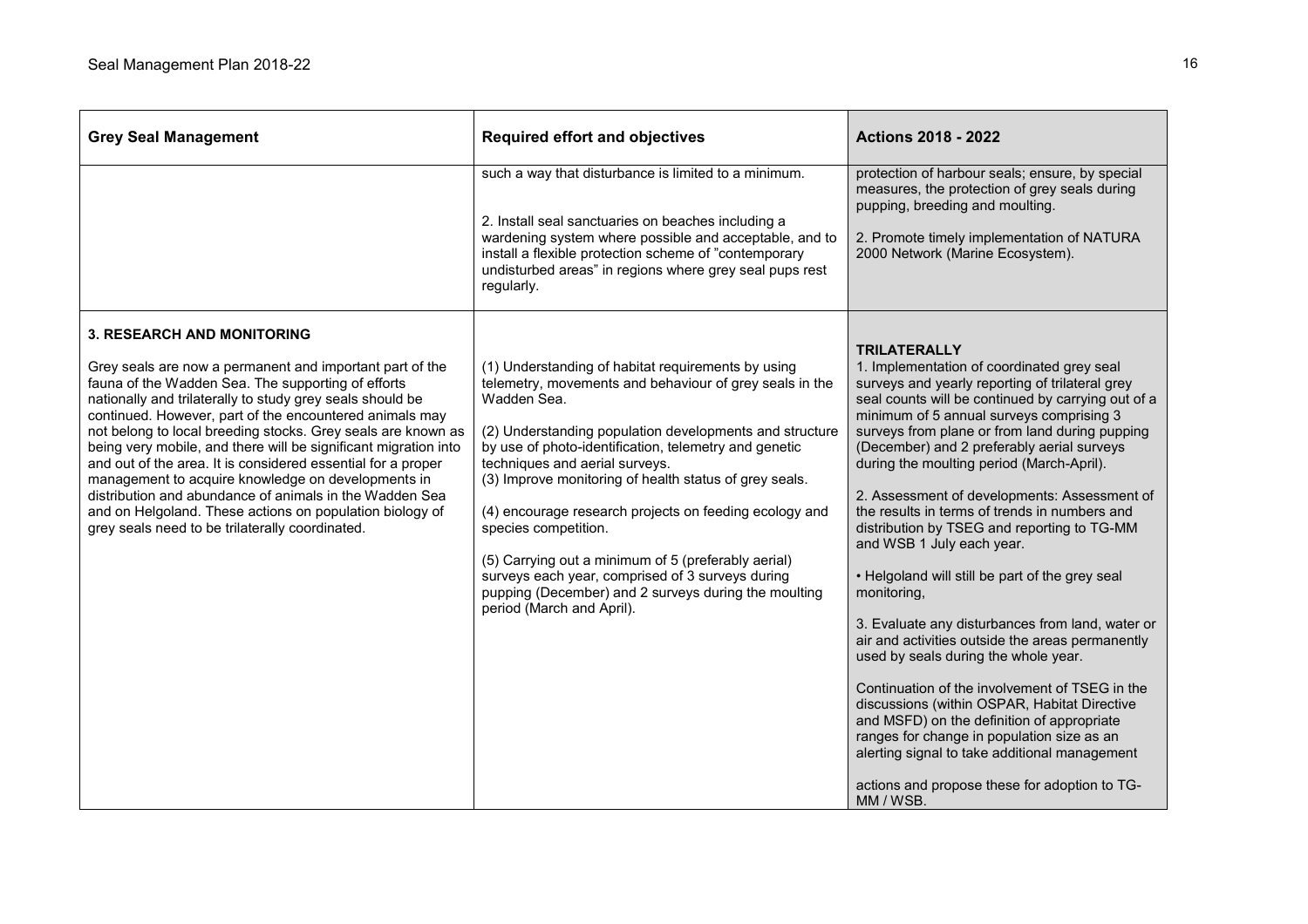| <b>Grey Seal Management</b>                                                                                                                                                                                                                                                                                                                                                                                                                                                                                                                                                                                                                                                                                    | <b>Required effort and objectives</b>                                                                                                                                                                                                                                                                                                                                                                                                                                                                                                                                                                                          | <b>Actions 2018 - 2022</b>                                                                                                                                                                                                                                                                                                                                                                                                                                                                                                                                                                                                                                                                                                                                                                                                                                                                                                                                                                                                                                                      |
|----------------------------------------------------------------------------------------------------------------------------------------------------------------------------------------------------------------------------------------------------------------------------------------------------------------------------------------------------------------------------------------------------------------------------------------------------------------------------------------------------------------------------------------------------------------------------------------------------------------------------------------------------------------------------------------------------------------|--------------------------------------------------------------------------------------------------------------------------------------------------------------------------------------------------------------------------------------------------------------------------------------------------------------------------------------------------------------------------------------------------------------------------------------------------------------------------------------------------------------------------------------------------------------------------------------------------------------------------------|---------------------------------------------------------------------------------------------------------------------------------------------------------------------------------------------------------------------------------------------------------------------------------------------------------------------------------------------------------------------------------------------------------------------------------------------------------------------------------------------------------------------------------------------------------------------------------------------------------------------------------------------------------------------------------------------------------------------------------------------------------------------------------------------------------------------------------------------------------------------------------------------------------------------------------------------------------------------------------------------------------------------------------------------------------------------------------|
|                                                                                                                                                                                                                                                                                                                                                                                                                                                                                                                                                                                                                                                                                                                | such a way that disturbance is limited to a minimum.<br>2. Install seal sanctuaries on beaches including a<br>wardening system where possible and acceptable, and to<br>install a flexible protection scheme of "contemporary<br>undisturbed areas" in regions where grey seal pups rest<br>regularly.                                                                                                                                                                                                                                                                                                                         | protection of harbour seals; ensure, by special<br>measures, the protection of grey seals during<br>pupping, breeding and moulting.<br>2. Promote timely implementation of NATURA<br>2000 Network (Marine Ecosystem).                                                                                                                                                                                                                                                                                                                                                                                                                                                                                                                                                                                                                                                                                                                                                                                                                                                           |
| <b>3. RESEARCH AND MONITORING</b><br>Grey seals are now a permanent and important part of the<br>fauna of the Wadden Sea. The supporting of efforts<br>nationally and trilaterally to study grey seals should be<br>continued. However, part of the encountered animals may<br>not belong to local breeding stocks. Grey seals are known as<br>being very mobile, and there will be significant migration into<br>and out of the area. It is considered essential for a proper<br>management to acquire knowledge on developments in<br>distribution and abundance of animals in the Wadden Sea<br>and on Helgoland. These actions on population biology of<br>grey seals need to be trilaterally coordinated. | (1) Understanding of habitat requirements by using<br>telemetry, movements and behaviour of grey seals in the<br>Wadden Sea.<br>(2) Understanding population developments and structure<br>by use of photo-identification, telemetry and genetic<br>techniques and aerial surveys.<br>(3) Improve monitoring of health status of grey seals.<br>(4) encourage research projects on feeding ecology and<br>species competition.<br>(5) Carrying out a minimum of 5 (preferably aerial)<br>surveys each year, comprised of 3 surveys during<br>pupping (December) and 2 surveys during the moulting<br>period (March and April). | <b>TRILATERALLY</b><br>1. Implementation of coordinated grey seal<br>surveys and yearly reporting of trilateral grey<br>seal counts will be continued by carrying out of a<br>minimum of 5 annual surveys comprising 3<br>surveys from plane or from land during pupping<br>(December) and 2 preferably aerial surveys<br>during the moulting period (March-April).<br>2. Assessment of developments: Assessment of<br>the results in terms of trends in numbers and<br>distribution by TSEG and reporting to TG-MM<br>and WSB 1 July each year.<br>• Helgoland will still be part of the grey seal<br>monitoring,<br>3. Evaluate any disturbances from land, water or<br>air and activities outside the areas permanently<br>used by seals during the whole year.<br>Continuation of the involvement of TSEG in the<br>discussions (within OSPAR, Habitat Directive<br>and MSFD) on the definition of appropriate<br>ranges for change in population size as an<br>alerting signal to take additional management<br>actions and propose these for adoption to TG-<br>MM / WSB. |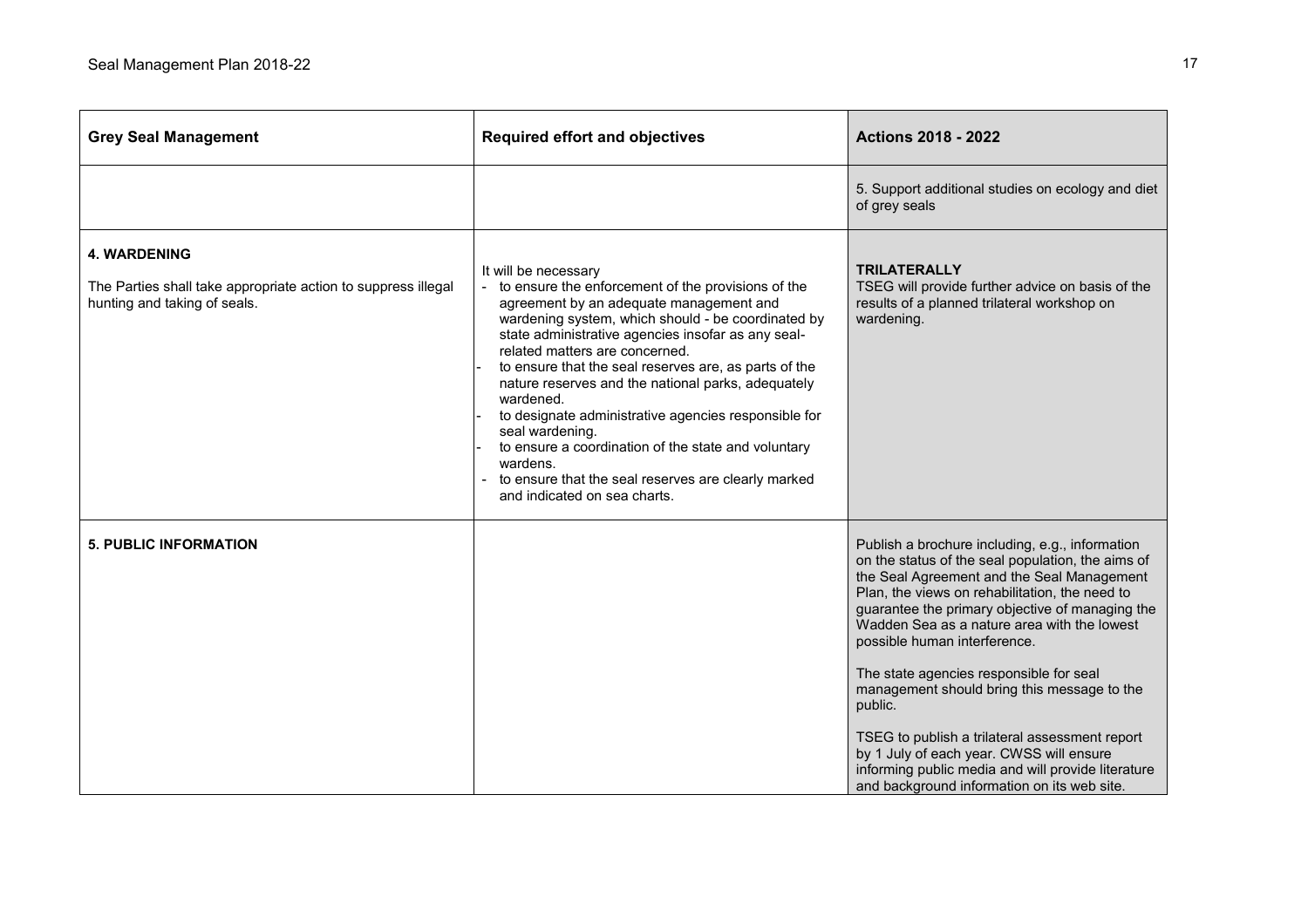| <b>Grey Seal Management</b>                                                                                          | <b>Required effort and objectives</b>                                                                                                                                                                                                                                                                                                                                                                                                                                                                                                                                                                                                | <b>Actions 2018 - 2022</b>                                                                                                                                                                                                                                                                                                                                                                                                                                                                                                                                                                                                                     |
|----------------------------------------------------------------------------------------------------------------------|--------------------------------------------------------------------------------------------------------------------------------------------------------------------------------------------------------------------------------------------------------------------------------------------------------------------------------------------------------------------------------------------------------------------------------------------------------------------------------------------------------------------------------------------------------------------------------------------------------------------------------------|------------------------------------------------------------------------------------------------------------------------------------------------------------------------------------------------------------------------------------------------------------------------------------------------------------------------------------------------------------------------------------------------------------------------------------------------------------------------------------------------------------------------------------------------------------------------------------------------------------------------------------------------|
|                                                                                                                      |                                                                                                                                                                                                                                                                                                                                                                                                                                                                                                                                                                                                                                      | 5. Support additional studies on ecology and diet<br>of grey seals                                                                                                                                                                                                                                                                                                                                                                                                                                                                                                                                                                             |
| <b>4. WARDENING</b><br>The Parties shall take appropriate action to suppress illegal<br>hunting and taking of seals. | It will be necessary<br>to ensure the enforcement of the provisions of the<br>agreement by an adequate management and<br>wardening system, which should - be coordinated by<br>state administrative agencies insofar as any seal-<br>related matters are concerned.<br>to ensure that the seal reserves are, as parts of the<br>nature reserves and the national parks, adequately<br>wardened.<br>to designate administrative agencies responsible for<br>seal wardening.<br>to ensure a coordination of the state and voluntary<br>wardens.<br>to ensure that the seal reserves are clearly marked<br>and indicated on sea charts. | <b>TRILATERALLY</b><br>TSEG will provide further advice on basis of the<br>results of a planned trilateral workshop on<br>wardening.                                                                                                                                                                                                                                                                                                                                                                                                                                                                                                           |
| <b>5. PUBLIC INFORMATION</b>                                                                                         |                                                                                                                                                                                                                                                                                                                                                                                                                                                                                                                                                                                                                                      | Publish a brochure including, e.g., information<br>on the status of the seal population, the aims of<br>the Seal Agreement and the Seal Management<br>Plan, the views on rehabilitation, the need to<br>guarantee the primary objective of managing the<br>Wadden Sea as a nature area with the lowest<br>possible human interference.<br>The state agencies responsible for seal<br>management should bring this message to the<br>public.<br>TSEG to publish a trilateral assessment report<br>by 1 July of each year. CWSS will ensure<br>informing public media and will provide literature<br>and background information on its web site. |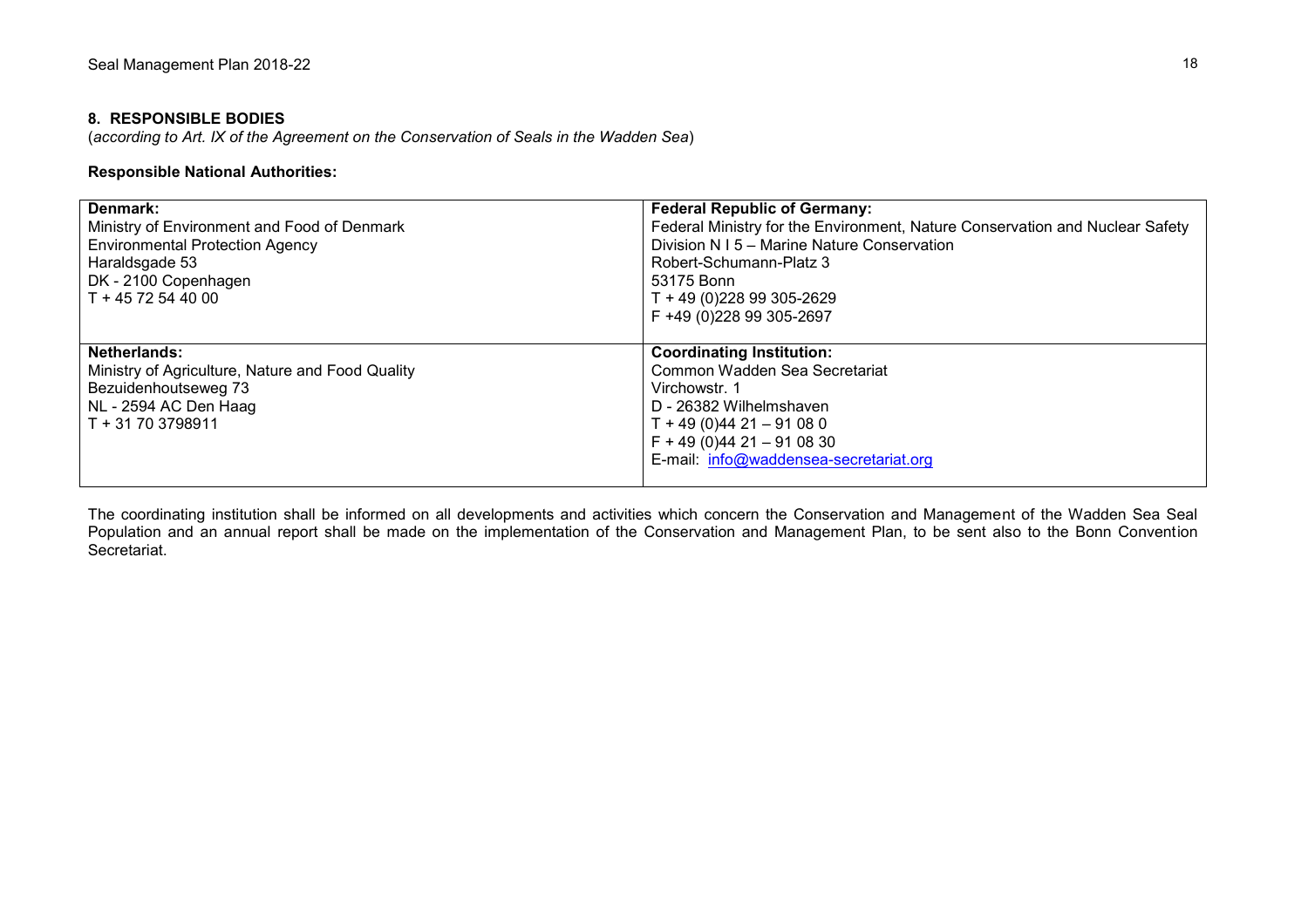# **8. RESPONSIBLE BODIES**

(*according to Art. IX of the Agreement on the Conservation of Seals in the Wadden Sea*)

# **Responsible National Authorities:**

| Denmark:<br>Ministry of Environment and Food of Denmark<br><b>Environmental Protection Agency</b><br>Haraldsgade 53<br>DK - 2100 Copenhagen<br>T + 45 72 54 40 00 | <b>Federal Republic of Germany:</b><br>Federal Ministry for the Environment, Nature Conservation and Nuclear Safety<br>Division N I 5 - Marine Nature Conservation<br>Robert-Schumann-Platz 3<br>53175 Bonn<br>T + 49 (0) 228 99 305-2629<br>F +49 (0)228 99 305-2697 |
|-------------------------------------------------------------------------------------------------------------------------------------------------------------------|-----------------------------------------------------------------------------------------------------------------------------------------------------------------------------------------------------------------------------------------------------------------------|
| Netherlands:<br>Ministry of Agriculture, Nature and Food Quality<br>Bezuidenhoutseweg 73<br>NL - 2594 AC Den Haag<br>T + 31 70 3798911                            | <b>Coordinating Institution:</b><br>Common Wadden Sea Secretariat<br>Virchowstr. 1<br>D - 26382 Wilhelmshaven<br>$T + 49(0)4421 - 91080$<br>$F + 49(0)4421 - 910830$<br>E-mail: info@waddensea-secretariat.org                                                        |

The coordinating institution shall be informed on all developments and activities which concern the Conservation and Management of the Wadden Sea Seal Population and an annual report shall be made on the implementation of the Conservation and Management Plan, to be sent also to the Bonn Convention Secretariat.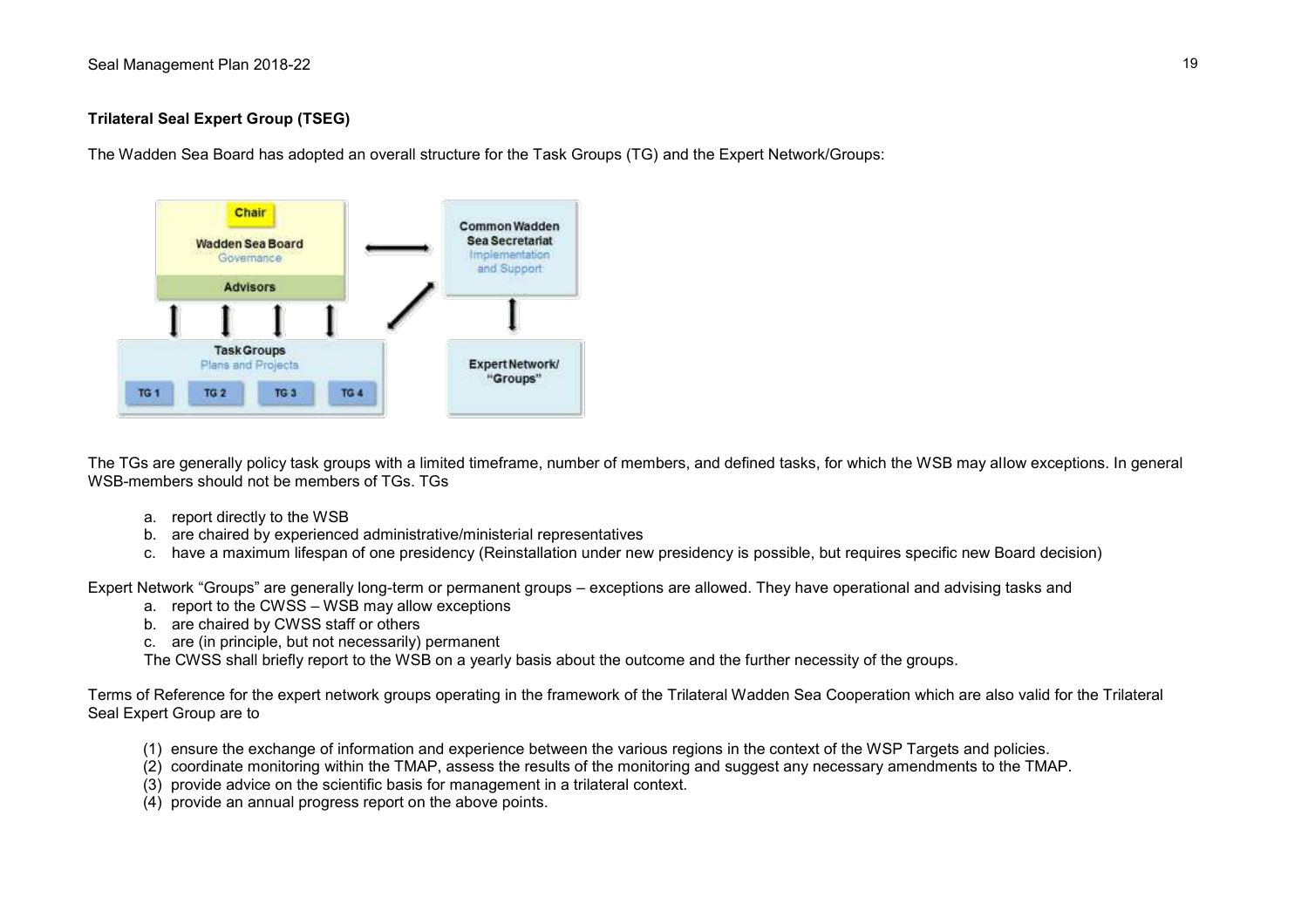# **Trilateral Seal Expert Group (TSEG)**

The Wadden Sea Board has adopted an overall structure for the Task Groups (TG) and the Expert Network/Groups:



The TGs are generally policy task groups with a limited timeframe, number of members, and defined tasks, for which the WSB may allow exceptions. In general WSB-members should not be members of TGs. TGs.

- a. report directly to the WSB
- b. are chaired by experienced administrative/ministerial representatives
- c. have a maximum lifespan of one presidency (Reinstallation under new presidency is possible, but requires specific new Board decision)

Expert Network "Groups" are generally long-term or permanent groups – exceptions are allowed. They have operational and advising tasks and

- a. report to the CWSS WSB may allow exceptions
- b. are chaired by CWSS staff or others
- c. are (in principle, but not necessarily) permanent

The CWSS shall briefly report to the WSB on a yearly basis about the outcome and the further necessity of the groups.

Terms of Reference for the expert network groups operating in the framework of the Trilateral Wadden Sea Cooperation which are also valid for the Trilateral Seal Expert Group are to

- (1) ensure the exchange of information and experience between the various regions in the context of the WSP Targets and policies.
- (2) coordinate monitoring within the TMAP, assess the results of the monitoring and suggest any necessary amendments to the TMAP.
- (3) provide advice on the scientific basis for management in a trilateral context.
- (4) provide an annual progress report on the above points.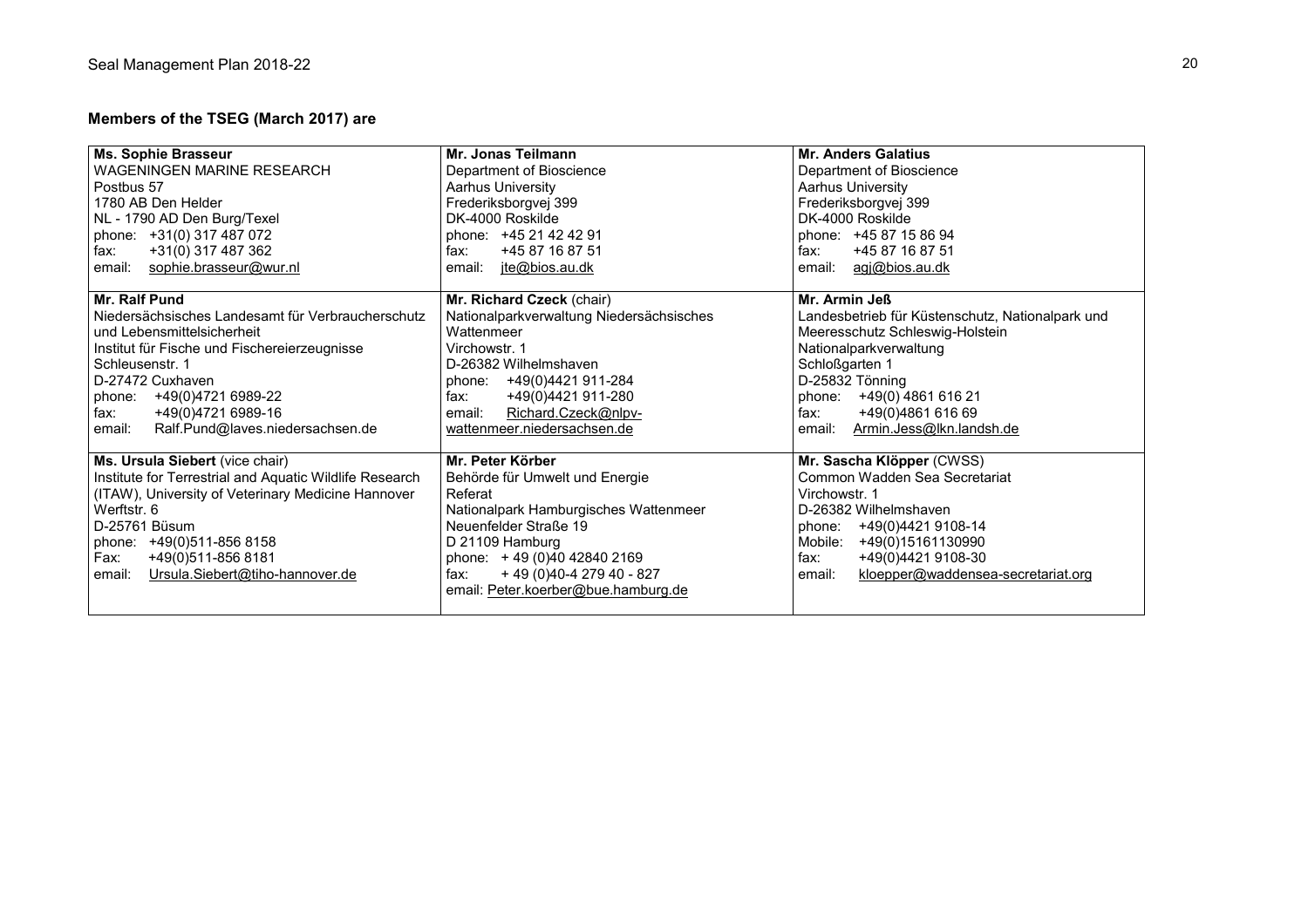# **Members of the TSEG (March 2017) are**

| Ms. Sophie Brasseur                                     | Mr. Jonas Teilmann                       | <b>Mr. Anders Galatius</b>                       |
|---------------------------------------------------------|------------------------------------------|--------------------------------------------------|
| WAGENINGEN MARINE RESEARCH                              | Department of Bioscience                 | Department of Bioscience                         |
| Postbus 57                                              | <b>Aarhus University</b>                 | <b>Aarhus University</b>                         |
| 1780 AB Den Helder                                      | Frederiksborgvej 399                     | Frederiksborgvej 399                             |
| NL - 1790 AD Den Burg/Texel                             | DK-4000 Roskilde                         | DK-4000 Roskilde                                 |
| phone: +31(0) 317 487 072                               | phone: +45 21 42 42 91                   | phone: +45 87 15 86 94                           |
| +31(0) 317 487 362<br>fax:                              | +45 87 16 87 51<br>fax:                  | fax:<br>+45 87 16 87 51                          |
| sophie.brasseur@wur.nl<br>email:                        | jte@bios.au.dk<br>email:                 | agj@bios.au.dk<br>email:                         |
|                                                         |                                          |                                                  |
| Mr. Ralf Pund                                           | Mr. Richard Czeck (chair)                | Mr. Armin Jeß                                    |
| Niedersächsisches Landesamt für Verbraucherschutz       | Nationalparkverwaltung Niedersächsisches | Landesbetrieb für Küstenschutz, Nationalpark und |
| und Lebensmittelsicherheit                              | Wattenmeer                               | Meeresschutz Schleswig-Holstein                  |
| Institut für Fische und Fischereierzeugnisse            | Virchowstr. 1                            | Nationalparkverwaltung                           |
| Schleusenstr. 1                                         | D-26382 Wilhelmshaven                    | Schloßgarten 1                                   |
| D-27472 Cuxhaven                                        | +49(0)4421 911-284<br>phone:             | D-25832 Tönning                                  |
| phone: +49(0)4721 6989-22                               | +49(0)4421 911-280<br>fax:               | +49(0) 4861 616 21<br>phone:                     |
| +49(0)4721 6989-16<br>fax:                              | Richard.Czeck@nlpv-<br>email:            | fax:<br>+49(0)4861 616 69                        |
| Ralf.Pund@laves.niedersachsen.de<br>email:              | wattenmeer.niedersachsen.de              | Armin.Jess@lkn.landsh.de<br>email:               |
|                                                         |                                          |                                                  |
| Ms. Ursula Siebert (vice chair)                         | Mr. Peter Körber                         | Mr. Sascha Klöpper (CWSS)                        |
| Institute for Terrestrial and Aquatic Wildlife Research | Behörde für Umwelt und Energie           | Common Wadden Sea Secretariat                    |
| (ITAW), University of Veterinary Medicine Hannover      | Referat                                  | Virchowstr. 1                                    |
| Werftstr. 6                                             | Nationalpark Hamburgisches Wattenmeer    | D-26382 Wilhelmshaven                            |
| D-25761 Büsum                                           | Neuenfelder Straße 19                    | +49(0)4421 9108-14<br>phone:                     |
| phone: +49(0)511-856 8158                               | D 21109 Hamburg                          | Mobile:<br>+49(0)15161130990                     |
| +49(0)511-856 8181<br>Fax:                              | phone: +49 (0)40 42840 2169              | fax:<br>+49(0)4421 9108-30                       |
| Ursula.Siebert@tiho-hannover.de<br>email:               | + 49 (0) 40 - 4 279 40 - 827<br>fax:     | kloepper@waddensea-secretariat.org<br>email:     |
|                                                         | email: Peter.koerber@bue.hamburg.de      |                                                  |
|                                                         |                                          |                                                  |